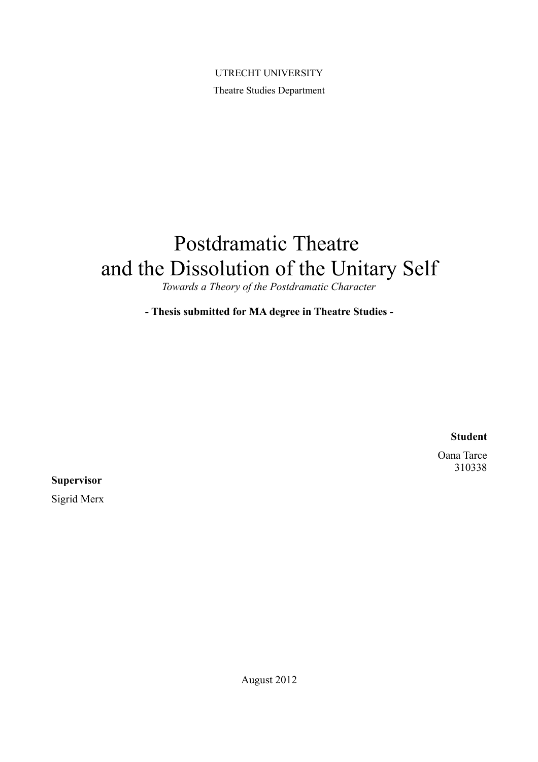UTRECHT UNIVERSITY Theatre Studies Department

# Postdramatic Theatre and the Dissolution of the Unitary Self

*Towards a Theory of the Postdramatic Character*

**- Thesis submitted for MA degree in Theatre Studies -**

**Student**

Oana Tarce 310338

**Supervisor**

Sigrid Merx

August 2012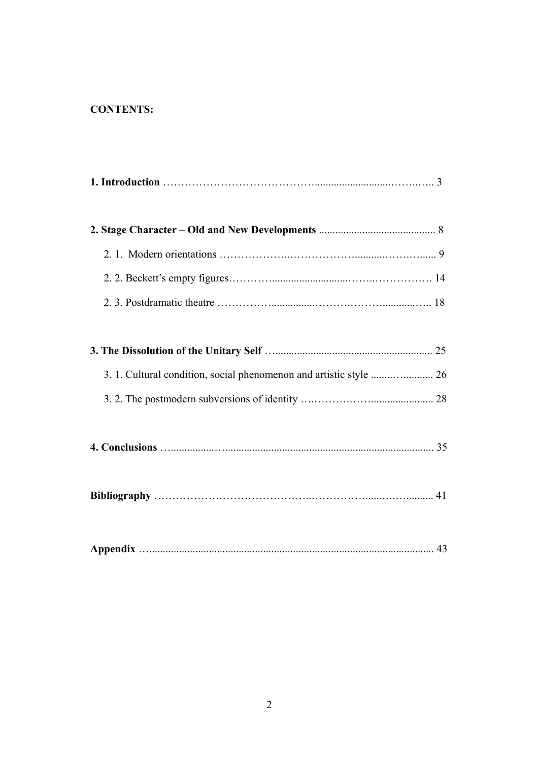# **CONTENTS:**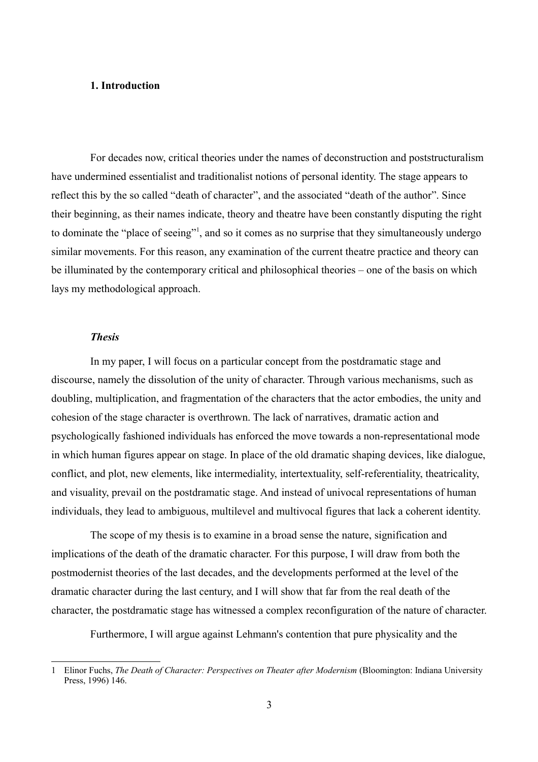# **1. Introduction**

For decades now, critical theories under the names of deconstruction and poststructuralism have undermined essentialist and traditionalist notions of personal identity. The stage appears to reflect this by the so called "death of character", and the associated "death of the author". Since their beginning, as their names indicate, theory and theatre have been constantly disputing the right to dominate the "place of seeing"[1](#page-2-0) , and so it comes as no surprise that they simultaneously undergo similar movements. For this reason, any examination of the current theatre practice and theory can be illuminated by the contemporary critical and philosophical theories – one of the basis on which lays my methodological approach.

## *Thesis*

In my paper, I will focus on a particular concept from the postdramatic stage and discourse, namely the dissolution of the unity of character. Through various mechanisms, such as doubling, multiplication, and fragmentation of the characters that the actor embodies, the unity and cohesion of the stage character is overthrown. The lack of narratives, dramatic action and psychologically fashioned individuals has enforced the move towards a non-representational mode in which human figures appear on stage. In place of the old dramatic shaping devices, like dialogue, conflict, and plot, new elements, like intermediality, intertextuality, self-referentiality, theatricality, and visuality, prevail on the postdramatic stage. And instead of univocal representations of human individuals, they lead to ambiguous, multilevel and multivocal figures that lack a coherent identity.

The scope of my thesis is to examine in a broad sense the nature, signification and implications of the death of the dramatic character. For this purpose, I will draw from both the postmodernist theories of the last decades, and the developments performed at the level of the dramatic character during the last century, and I will show that far from the real death of the character, the postdramatic stage has witnessed a complex reconfiguration of the nature of character.

Furthermore, I will argue against Lehmann's contention that pure physicality and the

<span id="page-2-0"></span><sup>1</sup> Elinor Fuchs, *The Death of Character: Perspectives on Theater after Modernism* (Bloomington: Indiana University Press, 1996) 146.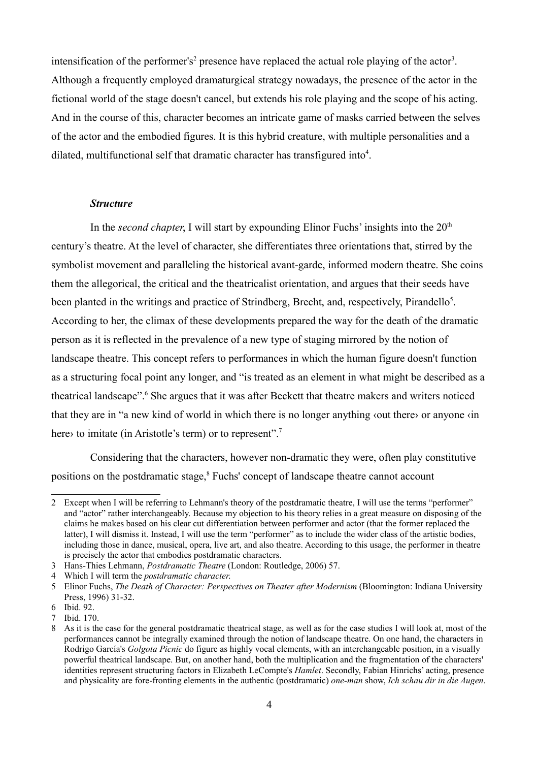intensification of the performer's<sup>[2](#page-3-0)</sup> presence have replaced the actual role playing of the actor<sup>[3](#page-3-1)</sup>. Although a frequently employed dramaturgical strategy nowadays, the presence of the actor in the fictional world of the stage doesn't cancel, but extends his role playing and the scope of his acting. And in the course of this, character becomes an intricate game of masks carried between the selves of the actor and the embodied figures. It is this hybrid creature, with multiple personalities and a dilated, multifunctional self that dramatic character has transfigured into<sup>[4](#page-3-2)</sup>.

#### *Structure*

In the *second chapter*, I will start by expounding Elinor Fuchs' insights into the 20<sup>th</sup> century's theatre. At the level of character, she differentiates three orientations that, stirred by the symbolist movement and paralleling the historical avant-garde, informed modern theatre. She coins them the allegorical, the critical and the theatricalist orientation, and argues that their seeds have been planted in the writings and practice of Strindberg, Brecht, and, respectively, Pirandello<sup>[5](#page-3-3)</sup>. According to her, the climax of these developments prepared the way for the death of the dramatic person as it is reflected in the prevalence of a new type of staging mirrored by the notion of landscape theatre. This concept refers to performances in which the human figure doesn't function as a structuring focal point any longer, and "is treated as an element in what might be described as a theatrical landscape".<sup>[6](#page-3-4)</sup> She argues that it was after Beckett that theatre makers and writers noticed that they are in "a new kind of world in which there is no longer anything ‹out there› or anyone ‹in here to imitate (in Aristotle's term) or to represent".<sup>[7](#page-3-5)</sup>

Considering that the characters, however non-dramatic they were, often play constitutive positions on the postdramatic stage,<sup>[8](#page-3-6)</sup> Fuchs' concept of landscape theatre cannot account

<span id="page-3-0"></span><sup>2</sup> Except when I will be referring to Lehmann's theory of the postdramatic theatre, I will use the terms "performer" and "actor" rather interchangeably. Because my objection to his theory relies in a great measure on disposing of the claims he makes based on his clear cut differentiation between performer and actor (that the former replaced the latter), I will dismiss it. Instead, I will use the term "performer" as to include the wider class of the artistic bodies, including those in dance, musical, opera, live art, and also theatre. According to this usage, the performer in theatre is precisely the actor that embodies postdramatic characters.

<span id="page-3-1"></span><sup>3</sup> Hans-Thies Lehmann, *Postdramatic Theatre* (London: Routledge, 2006) 57.

<span id="page-3-2"></span><sup>4</sup> Which I will term the *postdramatic character*.

<span id="page-3-3"></span><sup>5</sup> Elinor Fuchs, *The Death of Character: Perspectives on Theater after Modernism* (Bloomington: Indiana University Press, 1996) 31-32.

<span id="page-3-4"></span><sup>6</sup> Ibid. 92.

<span id="page-3-5"></span><sup>7</sup> Ibid. 170.

<span id="page-3-6"></span><sup>8</sup> As it is the case for the general postdramatic theatrical stage, as well as for the case studies I will look at, most of the performances cannot be integrally examined through the notion of landscape theatre. On one hand, the characters in Rodrigo García's *Golgota Picnic* do figure as highly vocal elements, with an interchangeable position, in a visually powerful theatrical landscape. But, on another hand, both the multiplication and the fragmentation of the characters' identities represent structuring factors in Elizabeth LeCompte's *Hamlet*. Secondly, Fabian Hinrichs' acting, presence and physicality are fore-fronting elements in the authentic (postdramatic) *one-man* show, *Ich schau dir in die Augen*.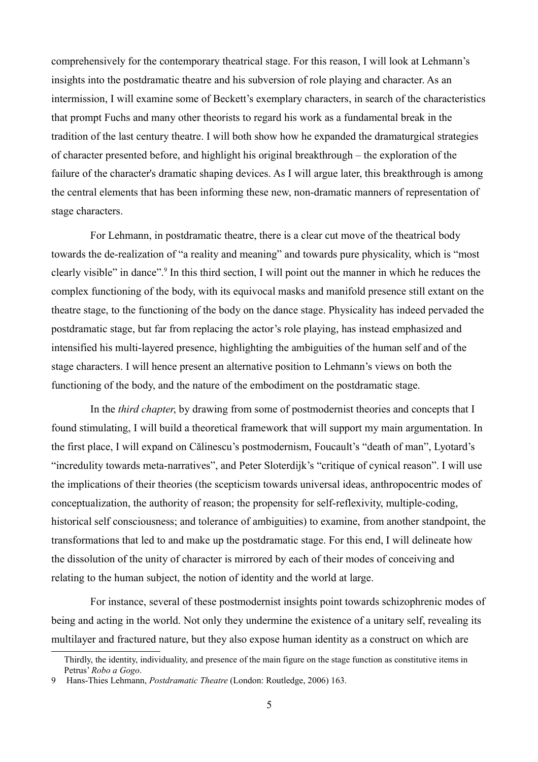comprehensively for the contemporary theatrical stage. For this reason, I will look at Lehmann's insights into the postdramatic theatre and his subversion of role playing and character. As an intermission, I will examine some of Beckett's exemplary characters, in search of the characteristics that prompt Fuchs and many other theorists to regard his work as a fundamental break in the tradition of the last century theatre. I will both show how he expanded the dramaturgical strategies of character presented before, and highlight his original breakthrough – the exploration of the failure of the character's dramatic shaping devices. As I will argue later, this breakthrough is among the central elements that has been informing these new, non-dramatic manners of representation of stage characters.

For Lehmann, in postdramatic theatre, there is a clear cut move of the theatrical body towards the de-realization of "a reality and meaning" and towards pure physicality, which is "most clearly visible" in dance".<sup>[9](#page-4-0)</sup> In this third section, I will point out the manner in which he reduces the complex functioning of the body, with its equivocal masks and manifold presence still extant on the theatre stage, to the functioning of the body on the dance stage. Physicality has indeed pervaded the postdramatic stage, but far from replacing the actor's role playing, has instead emphasized and intensified his multi-layered presence, highlighting the ambiguities of the human self and of the stage characters. I will hence present an alternative position to Lehmann's views on both the functioning of the body, and the nature of the embodiment on the postdramatic stage.

In the *third chapter*, by drawing from some of postmodernist theories and concepts that I found stimulating, I will build a theoretical framework that will support my main argumentation. In the first place, I will expand on Călinescu's postmodernism, Foucault's "death of man", Lyotard's "incredulity towards meta-narratives", and Peter Sloterdijk's "critique of cynical reason". I will use the implications of their theories (the scepticism towards universal ideas, anthropocentric modes of conceptualization, the authority of reason; the propensity for self-reflexivity, multiple-coding, historical self consciousness; and tolerance of ambiguities) to examine, from another standpoint, the transformations that led to and make up the postdramatic stage. For this end, I will delineate how the dissolution of the unity of character is mirrored by each of their modes of conceiving and relating to the human subject, the notion of identity and the world at large.

For instance, several of these postmodernist insights point towards schizophrenic modes of being and acting in the world. Not only they undermine the existence of a unitary self, revealing its multilayer and fractured nature, but they also expose human identity as a construct on which are

Thirdly, the identity, individuality, and presence of the main figure on the stage function as constitutive items in Petrus' *Robo a Gogo*.

<span id="page-4-0"></span><sup>9</sup> Hans-Thies Lehmann, *Postdramatic Theatre* (London: Routledge, 2006) 163.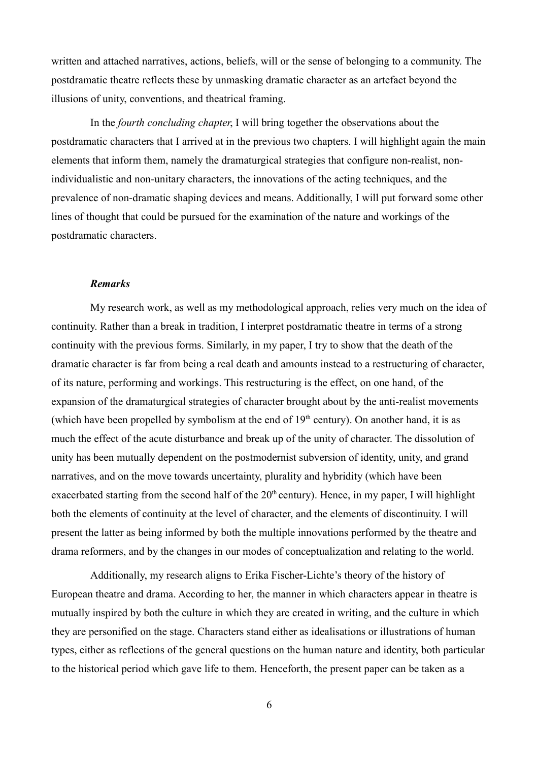written and attached narratives, actions, beliefs, will or the sense of belonging to a community. The postdramatic theatre reflects these by unmasking dramatic character as an artefact beyond the illusions of unity, conventions, and theatrical framing.

In the *fourth concluding chapter*, I will bring together the observations about the postdramatic characters that I arrived at in the previous two chapters. I will highlight again the main elements that inform them, namely the dramaturgical strategies that configure non-realist, nonindividualistic and non-unitary characters, the innovations of the acting techniques, and the prevalence of non-dramatic shaping devices and means. Additionally, I will put forward some other lines of thought that could be pursued for the examination of the nature and workings of the postdramatic characters.

#### *Remarks*

My research work, as well as my methodological approach, relies very much on the idea of continuity. Rather than a break in tradition, I interpret postdramatic theatre in terms of a strong continuity with the previous forms. Similarly, in my paper, I try to show that the death of the dramatic character is far from being a real death and amounts instead to a restructuring of character, of its nature, performing and workings. This restructuring is the effect, on one hand, of the expansion of the dramaturgical strategies of character brought about by the anti-realist movements (which have been propelled by symbolism at the end of  $19<sup>th</sup>$  century). On another hand, it is as much the effect of the acute disturbance and break up of the unity of character. The dissolution of unity has been mutually dependent on the postmodernist subversion of identity, unity, and grand narratives, and on the move towards uncertainty, plurality and hybridity (which have been exacerbated starting from the second half of the  $20<sup>th</sup>$  century). Hence, in my paper, I will highlight both the elements of continuity at the level of character, and the elements of discontinuity. I will present the latter as being informed by both the multiple innovations performed by the theatre and drama reformers, and by the changes in our modes of conceptualization and relating to the world.

Additionally, my research aligns to Erika Fischer-Lichte's theory of the history of European theatre and drama. According to her, the manner in which characters appear in theatre is mutually inspired by both the culture in which they are created in writing, and the culture in which they are personified on the stage. Characters stand either as idealisations or illustrations of human types, either as reflections of the general questions on the human nature and identity, both particular to the historical period which gave life to them. Henceforth, the present paper can be taken as a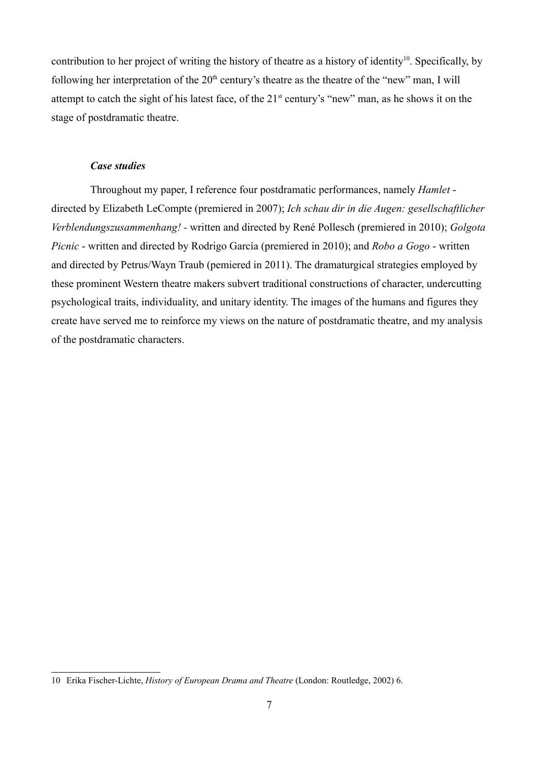contribution to her project of writing the history of theatre as a history of identity<sup>[10](#page-6-0)</sup>. Specifically, by following her interpretation of the  $20<sup>th</sup>$  century's theatre as the theatre of the "new" man, I will attempt to catch the sight of his latest face, of the 21<sup>st</sup> century's "new" man, as he shows it on the stage of postdramatic theatre.

## *Case studies*

Throughout my paper, I reference four postdramatic performances, namely *Hamlet* directed by Elizabeth LeCompte (premiered in 2007); *Ich schau dir in die Augen: gesellschaftlicher Verblendungszusammenhang! -* written and directed by René Pollesch (premiered in 2010); *Golgota Picnic* - written and directed by Rodrigo García (premiered in 2010); and *Robo a Gogo* - written and directed by Petrus/Wayn Traub (pemiered in 2011). The dramaturgical strategies employed by these prominent Western theatre makers subvert traditional constructions of character, undercutting psychological traits, individuality, and unitary identity. The images of the humans and figures they create have served me to reinforce my views on the nature of postdramatic theatre, and my analysis of the postdramatic characters.

<span id="page-6-0"></span><sup>10</sup> Erika Fischer-Lichte, *History of European Drama and Theatre* (London: Routledge, 2002) 6.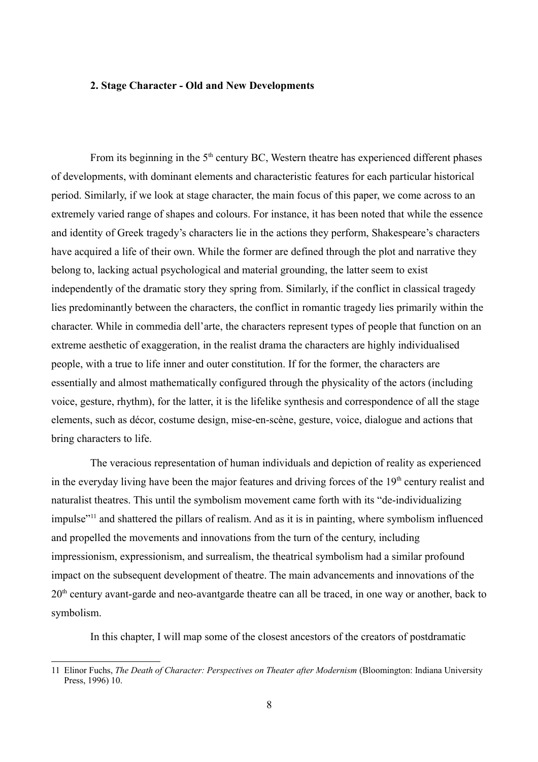## **2. Stage Character - Old and New Developments**

From its beginning in the  $5<sup>th</sup>$  century BC, Western theatre has experienced different phases of developments, with dominant elements and characteristic features for each particular historical period. Similarly, if we look at stage character, the main focus of this paper, we come across to an extremely varied range of shapes and colours. For instance, it has been noted that while the essence and identity of Greek tragedy's characters lie in the actions they perform, Shakespeare's characters have acquired a life of their own. While the former are defined through the plot and narrative they belong to, lacking actual psychological and material grounding, the latter seem to exist independently of the dramatic story they spring from. Similarly, if the conflict in classical tragedy lies predominantly between the characters, the conflict in romantic tragedy lies primarily within the character. While in commedia dell'arte, the characters represent types of people that function on an extreme aesthetic of exaggeration, in the realist drama the characters are highly individualised people, with a true to life inner and outer constitution. If for the former, the characters are essentially and almost mathematically configured through the physicality of the actors (including voice, gesture, rhythm), for the latter, it is the lifelike synthesis and correspondence of all the stage elements, such as décor, costume design, mise-en-scène, gesture, voice, dialogue and actions that bring characters to life.

The veracious representation of human individuals and depiction of reality as experienced in the everyday living have been the major features and driving forces of the  $19<sup>th</sup>$  century realist and naturalist theatres. This until the symbolism movement came forth with its "de-individualizing impulse"<sup>[11](#page-7-0)</sup> and shattered the pillars of realism. And as it is in painting, where symbolism influenced and propelled the movements and innovations from the turn of the century, including impressionism, expressionism, and surrealism, the theatrical symbolism had a similar profound impact on the subsequent development of theatre. The main advancements and innovations of the 20<sup>th</sup> century avant-garde and neo-avantgarde theatre can all be traced, in one way or another, back to symbolism.

In this chapter, I will map some of the closest ancestors of the creators of postdramatic

<span id="page-7-0"></span><sup>11</sup> Elinor Fuchs, *The Death of Character: Perspectives on Theater after Modernism* (Bloomington: Indiana University Press, 1996) 10.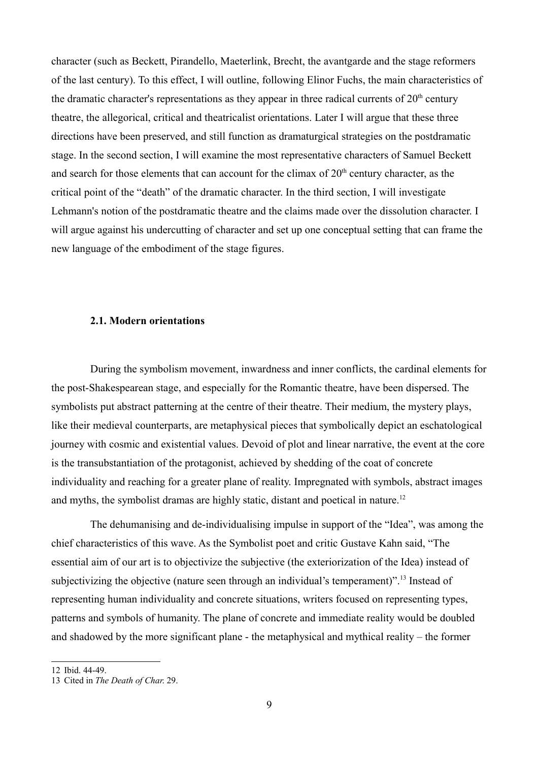character (such as Beckett, Pirandello, Maeterlink, Brecht, the avantgarde and the stage reformers of the last century). To this effect, I will outline, following Elinor Fuchs, the main characteristics of the dramatic character's representations as they appear in three radical currents of  $20<sup>th</sup>$  century theatre, the allegorical, critical and theatricalist orientations. Later I will argue that these three directions have been preserved, and still function as dramaturgical strategies on the postdramatic stage. In the second section, I will examine the most representative characters of Samuel Beckett and search for those elements that can account for the climax of  $20<sup>th</sup>$  century character, as the critical point of the "death" of the dramatic character. In the third section, I will investigate Lehmann's notion of the postdramatic theatre and the claims made over the dissolution character. I will argue against his undercutting of character and set up one conceptual setting that can frame the new language of the embodiment of the stage figures.

#### **2.1. Modern orientations**

During the symbolism movement, inwardness and inner conflicts, the cardinal elements for the post-Shakespearean stage, and especially for the Romantic theatre, have been dispersed. The symbolists put abstract patterning at the centre of their theatre. Their medium, the mystery plays, like their medieval counterparts, are metaphysical pieces that symbolically depict an eschatological journey with cosmic and existential values. Devoid of plot and linear narrative, the event at the core is the transubstantiation of the protagonist, achieved by shedding of the coat of concrete individuality and reaching for a greater plane of reality. Impregnated with symbols, abstract images and myths, the symbolist dramas are highly static, distant and poetical in nature.<sup>[12](#page-8-0)</sup>

The dehumanising and de-individualising impulse in support of the "Idea", was among the chief characteristics of this wave. As the Symbolist poet and critic Gustave Kahn said, "The essential aim of our art is to objectivize the subjective (the exteriorization of the Idea) instead of subjectivizing the objective (nature seen through an individual's temperament)".<sup>[13](#page-8-1)</sup> Instead of representing human individuality and concrete situations, writers focused on representing types, patterns and symbols of humanity. The plane of concrete and immediate reality would be doubled and shadowed by the more significant plane - the metaphysical and mythical reality – the former

<span id="page-8-0"></span><sup>12</sup> Ibid. 44-49.

<span id="page-8-1"></span><sup>13</sup> Cited in *The Death of Char*. 29.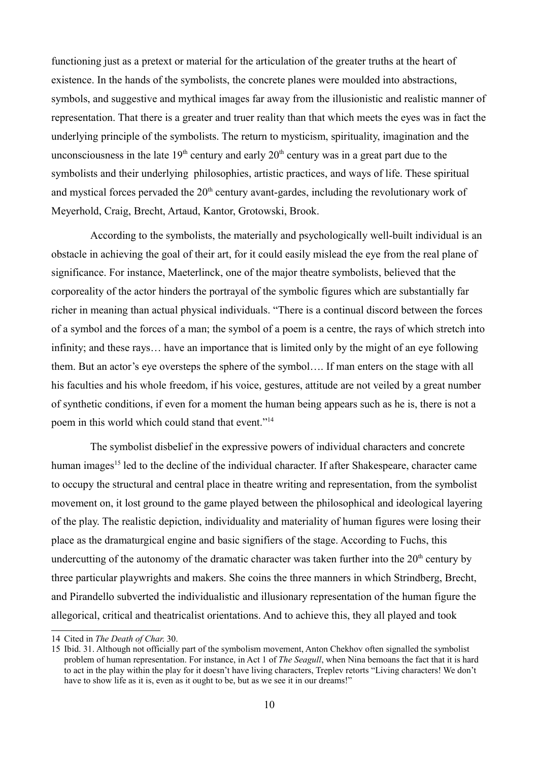functioning just as a pretext or material for the articulation of the greater truths at the heart of existence. In the hands of the symbolists, the concrete planes were moulded into abstractions, symbols, and suggestive and mythical images far away from the illusionistic and realistic manner of representation. That there is a greater and truer reality than that which meets the eyes was in fact the underlying principle of the symbolists. The return to mysticism, spirituality, imagination and the unconsciousness in the late  $19<sup>th</sup>$  century and early  $20<sup>th</sup>$  century was in a great part due to the symbolists and their underlying philosophies, artistic practices, and ways of life. These spiritual and mystical forces pervaded the  $20<sup>th</sup>$  century avant-gardes, including the revolutionary work of Meyerhold, Craig, Brecht, Artaud, Kantor, Grotowski, Brook.

According to the symbolists, the materially and psychologically well-built individual is an obstacle in achieving the goal of their art, for it could easily mislead the eye from the real plane of significance. For instance, Maeterlinck, one of the major theatre symbolists, believed that the corporeality of the actor hinders the portrayal of the symbolic figures which are substantially far richer in meaning than actual physical individuals. "There is a continual discord between the forces of a symbol and the forces of a man; the symbol of a poem is a centre, the rays of which stretch into infinity; and these rays… have an importance that is limited only by the might of an eye following them. But an actor's eye oversteps the sphere of the symbol…. If man enters on the stage with all his faculties and his whole freedom, if his voice, gestures, attitude are not veiled by a great number of synthetic conditions, if even for a moment the human being appears such as he is, there is not a poem in this world which could stand that event."[14](#page-9-0)

The symbolist disbelief in the expressive powers of individual characters and concrete human images<sup>[15](#page-9-1)</sup> led to the decline of the individual character. If after Shakespeare, character came to occupy the structural and central place in theatre writing and representation, from the symbolist movement on, it lost ground to the game played between the philosophical and ideological layering of the play. The realistic depiction, individuality and materiality of human figures were losing their place as the dramaturgical engine and basic signifiers of the stage. According to Fuchs, this undercutting of the autonomy of the dramatic character was taken further into the  $20<sup>th</sup>$  century by three particular playwrights and makers. She coins the three manners in which Strindberg, Brecht, and Pirandello subverted the individualistic and illusionary representation of the human figure the allegorical, critical and theatricalist orientations. And to achieve this, they all played and took

<span id="page-9-0"></span><sup>14</sup> Cited in *The Death of Char*. 30.

<span id="page-9-1"></span><sup>15</sup> Ibid. 31. Although not officially part of the symbolism movement, Anton Chekhov often signalled the symbolist problem of human representation. For instance, in Act 1 of *The Seagull*, when Nina bemoans the fact that it is hard to act in the play within the play for it doesn't have living characters, Treplev retorts "Living characters! We don't have to show life as it is, even as it ought to be, but as we see it in our dreams!"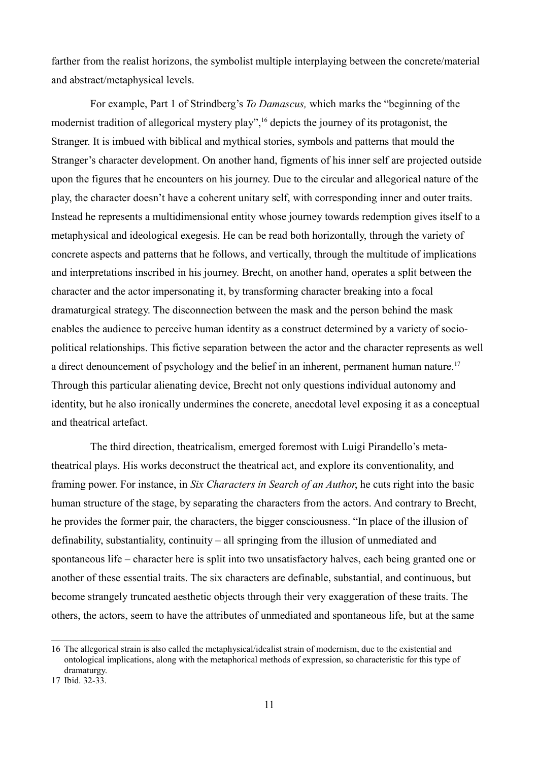farther from the realist horizons, the symbolist multiple interplaying between the concrete/material and abstract/metaphysical levels.

For example, Part 1 of Strindberg's *To Damascus,* which marks the "beginning of the modernist tradition of allegorical mystery play",<sup>[16](#page-10-0)</sup> depicts the journey of its protagonist, the Stranger. It is imbued with biblical and mythical stories, symbols and patterns that mould the Stranger's character development. On another hand, figments of his inner self are projected outside upon the figures that he encounters on his journey. Due to the circular and allegorical nature of the play, the character doesn't have a coherent unitary self, with corresponding inner and outer traits. Instead he represents a multidimensional entity whose journey towards redemption gives itself to a metaphysical and ideological exegesis. He can be read both horizontally, through the variety of concrete aspects and patterns that he follows, and vertically, through the multitude of implications and interpretations inscribed in his journey. Brecht, on another hand, operates a split between the character and the actor impersonating it, by transforming character breaking into a focal dramaturgical strategy. The disconnection between the mask and the person behind the mask enables the audience to perceive human identity as a construct determined by a variety of sociopolitical relationships. This fictive separation between the actor and the character represents as well a direct denouncement of psychology and the belief in an inherent, permanent human nature.<sup>[17](#page-10-1)</sup> Through this particular alienating device, Brecht not only questions individual autonomy and identity, but he also ironically undermines the concrete, anecdotal level exposing it as a conceptual and theatrical artefact.

The third direction, theatricalism, emerged foremost with Luigi Pirandello's metatheatrical plays. His works deconstruct the theatrical act, and explore its conventionality, and framing power. For instance, in *Six Characters in Search of an Author*, he cuts right into the basic human structure of the stage, by separating the characters from the actors. And contrary to Brecht, he provides the former pair, the characters, the bigger consciousness. "In place of the illusion of definability, substantiality, continuity – all springing from the illusion of unmediated and spontaneous life – character here is split into two unsatisfactory halves, each being granted one or another of these essential traits. The six characters are definable, substantial, and continuous, but become strangely truncated aesthetic objects through their very exaggeration of these traits. The others, the actors, seem to have the attributes of unmediated and spontaneous life, but at the same

<span id="page-10-0"></span><sup>16</sup> The allegorical strain is also called the metaphysical/idealist strain of modernism, due to the existential and ontological implications, along with the metaphorical methods of expression, so characteristic for this type of dramaturgy.

<span id="page-10-1"></span><sup>17</sup> Ibid. 32-33.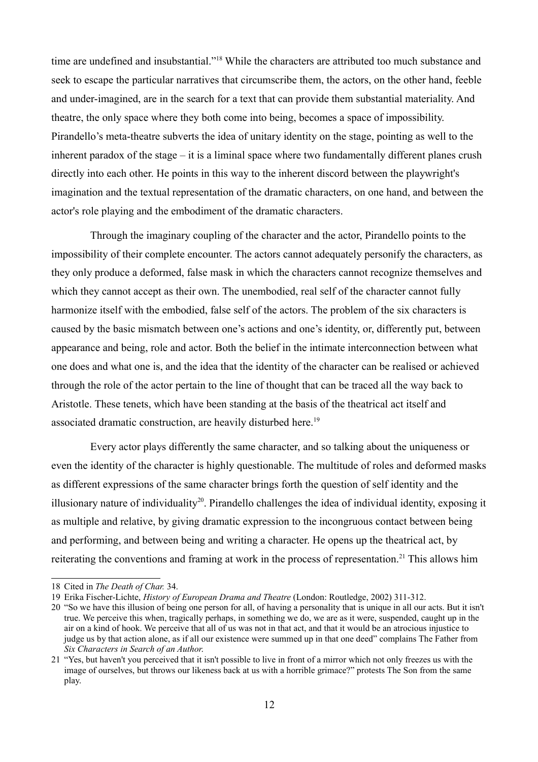time are undefined and insubstantial."[18](#page-11-0) While the characters are attributed too much substance and seek to escape the particular narratives that circumscribe them, the actors, on the other hand, feeble and under-imagined, are in the search for a text that can provide them substantial materiality. And theatre, the only space where they both come into being, becomes a space of impossibility. Pirandello's meta-theatre subverts the idea of unitary identity on the stage, pointing as well to the inherent paradox of the stage – it is a liminal space where two fundamentally different planes crush directly into each other. He points in this way to the inherent discord between the playwright's imagination and the textual representation of the dramatic characters, on one hand, and between the actor's role playing and the embodiment of the dramatic characters.

Through the imaginary coupling of the character and the actor, Pirandello points to the impossibility of their complete encounter. The actors cannot adequately personify the characters, as they only produce a deformed, false mask in which the characters cannot recognize themselves and which they cannot accept as their own. The unembodied, real self of the character cannot fully harmonize itself with the embodied, false self of the actors. The problem of the six characters is caused by the basic mismatch between one's actions and one's identity, or, differently put, between appearance and being, role and actor. Both the belief in the intimate interconnection between what one does and what one is, and the idea that the identity of the character can be realised or achieved through the role of the actor pertain to the line of thought that can be traced all the way back to Aristotle. These tenets, which have been standing at the basis of the theatrical act itself and associated dramatic construction, are heavily disturbed here.<sup>[19](#page-11-1)</sup>

Every actor plays differently the same character, and so talking about the uniqueness or even the identity of the character is highly questionable. The multitude of roles and deformed masks as different expressions of the same character brings forth the question of self identity and the illusionary nature of individuality[20](#page-11-2). Pirandello challenges the idea of individual identity, exposing it as multiple and relative, by giving dramatic expression to the incongruous contact between being and performing, and between being and writing a character. He opens up the theatrical act, by reiterating the conventions and framing at work in the process of representation.<sup>[21](#page-11-3)</sup> This allows him

<span id="page-11-0"></span><sup>18</sup> Cited in *The Death of Char.* 34.

<span id="page-11-1"></span><sup>19</sup> Erika Fischer-Lichte, *History of European Drama and Theatre* (London: Routledge, 2002) 311-312.

<span id="page-11-2"></span><sup>20</sup> "So we have this illusion of being one person for all, of having a personality that is unique in all our acts. But it isn't true. We perceive this when, tragically perhaps, in something we do, we are as it were, suspended, caught up in the air on a kind of hook. We perceive that all of us was not in that act, and that it would be an atrocious injustice to judge us by that action alone, as if all our existence were summed up in that one deed" complains The Father from *Six Characters in Search of an Author*.

<span id="page-11-3"></span><sup>21</sup> "Yes, but haven't you perceived that it isn't possible to live in front of a mirror which not only freezes us with the image of ourselves, but throws our likeness back at us with a horrible grimace?" protests The Son from the same play.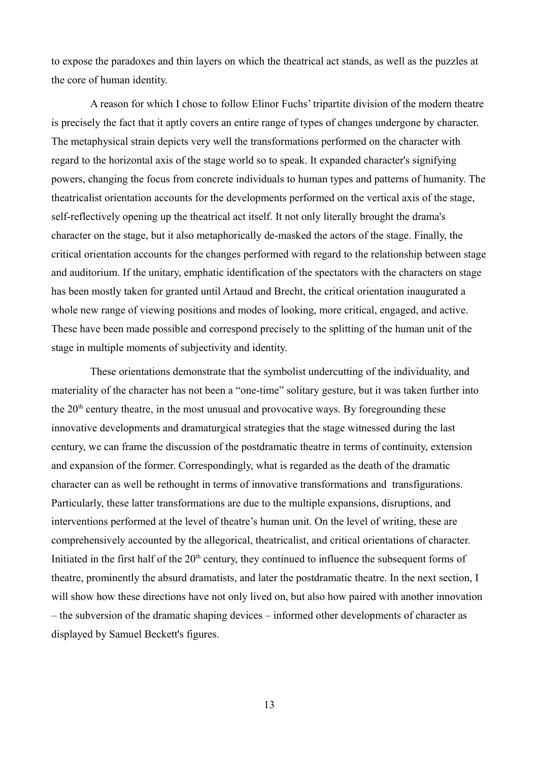to expose the paradoxes and thin layers on which the theatrical act stands, as well as the puzzles at the core of human identity.

A reason for which I chose to follow Elinor Fuchs' tripartite division of the modern theatre is precisely the fact that it aptly covers an entire range of types of changes undergone by character. The metaphysical strain depicts very well the transformations performed on the character with regard to the horizontal axis of the stage world so to speak. It expanded character's signifying powers, changing the focus from concrete individuals to human types and patterns of humanity. The theatricalist orientation accounts for the developments performed on the vertical axis of the stage, self-reflectively opening up the theatrical act itself. It not only literally brought the drama's character on the stage, but it also metaphorically de-masked the actors of the stage. Finally, the critical orientation accounts for the changes performed with regard to the relationship between stage and auditorium. If the unitary, emphatic identification of the spectators with the characters on stage has been mostly taken for granted until Artaud and Brecht, the critical orientation inaugurated a whole new range of viewing positions and modes of looking, more critical, engaged, and active. These have been made possible and correspond precisely to the splitting of the human unit of the stage in multiple moments of subjectivity and identity.

These orientations demonstrate that the symbolist undercutting of the individuality, and materiality of the character has not been a "one-time" solitary gesture, but it was taken further into the  $20<sup>th</sup>$  century theatre, in the most unusual and provocative ways. By foregrounding these innovative developments and dramaturgical strategies that the stage witnessed during the last century, we can frame the discussion of the postdramatic theatre in terms of continuity, extension and expansion of the former. Correspondingly, what is regarded as the death of the dramatic character can as well be rethought in terms of innovative transformations and transfigurations. Particularly, these latter transformations are due to the multiple expansions, disruptions, and interventions performed at the level of theatre's human unit. On the level of writing, these are comprehensively accounted by the allegorical, theatricalist, and critical orientations of character. Initiated in the first half of the  $20<sup>th</sup>$  century, they continued to influence the subsequent forms of theatre, prominently the absurd dramatists, and later the postdramatic theatre. In the next section, I will show how these directions have not only lived on, but also how paired with another innovation – the subversion of the dramatic shaping devices – informed other developments of character as displayed by Samuel Beckett's figures.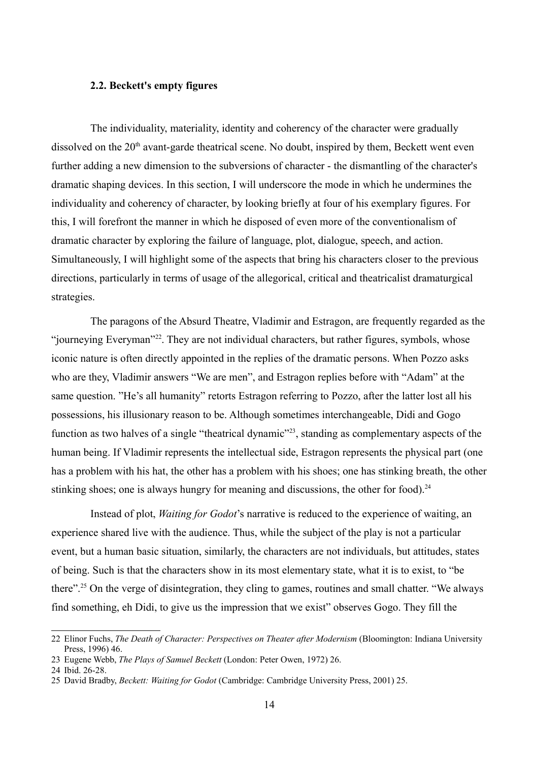## **2.2. Beckett's empty figures**

The individuality, materiality, identity and coherency of the character were gradually dissolved on the  $20<sup>th</sup>$  avant-garde theatrical scene. No doubt, inspired by them, Beckett went even further adding a new dimension to the subversions of character - the dismantling of the character's dramatic shaping devices. In this section, I will underscore the mode in which he undermines the individuality and coherency of character, by looking briefly at four of his exemplary figures. For this, I will forefront the manner in which he disposed of even more of the conventionalism of dramatic character by exploring the failure of language, plot, dialogue, speech, and action. Simultaneously, I will highlight some of the aspects that bring his characters closer to the previous directions, particularly in terms of usage of the allegorical, critical and theatricalist dramaturgical strategies.

The paragons of the Absurd Theatre, Vladimir and Estragon, are frequently regarded as the "journeying Everyman"[22](#page-13-0). They are not individual characters, but rather figures, symbols, whose iconic nature is often directly appointed in the replies of the dramatic persons. When Pozzo asks who are they, Vladimir answers "We are men", and Estragon replies before with "Adam" at the same question. "He's all humanity" retorts Estragon referring to Pozzo, after the latter lost all his possessions, his illusionary reason to be. Although sometimes interchangeable, Didi and Gogo function as two halves of a single "theatrical dynamic"<sup>[23](#page-13-1)</sup>, standing as complementary aspects of the human being. If Vladimir represents the intellectual side, Estragon represents the physical part (one has a problem with his hat, the other has a problem with his shoes; one has stinking breath, the other stinking shoes; one is always hungry for meaning and discussions, the other for food).<sup>[24](#page-13-2)</sup>

Instead of plot, *Waiting for Godot*'s narrative is reduced to the experience of waiting, an experience shared live with the audience. Thus, while the subject of the play is not a particular event, but a human basic situation, similarly, the characters are not individuals, but attitudes, states of being. Such is that the characters show in its most elementary state, what it is to exist, to "be there".[25](#page-13-3) On the verge of disintegration, they cling to games, routines and small chatter. "We always find something, eh Didi, to give us the impression that we exist" observes Gogo. They fill the

<span id="page-13-0"></span><sup>22</sup> Elinor Fuchs, *The Death of Character: Perspectives on Theater after Modernism* (Bloomington: Indiana University Press, 1996) 46.

<span id="page-13-1"></span><sup>23</sup> Eugene Webb, *The Plays of Samuel Beckett* (London: Peter Owen, 1972) 26.

<span id="page-13-2"></span><sup>24</sup> Ibid. 26-28.

<span id="page-13-3"></span><sup>25</sup> David Bradby, *Beckett: Waiting for Godot* (Cambridge: Cambridge University Press, 2001) 25.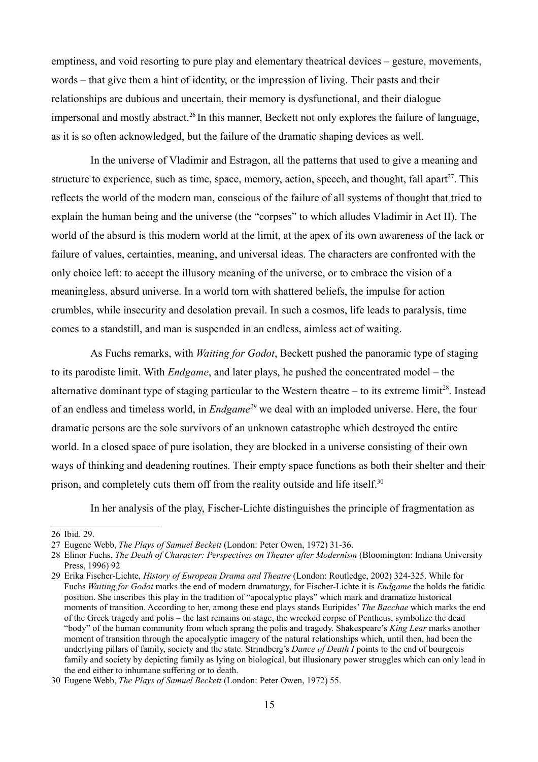emptiness, and void resorting to pure play and elementary theatrical devices – gesture, movements, words – that give them a hint of identity, or the impression of living. Their pasts and their relationships are dubious and uncertain, their memory is dysfunctional, and their dialogue impersonal and mostly abstract.<sup>[26](#page-14-0)</sup> In this manner, Beckett not only explores the failure of language, as it is so often acknowledged, but the failure of the dramatic shaping devices as well.

In the universe of Vladimir and Estragon, all the patterns that used to give a meaning and structure to experience, such as time, space, memory, action, speech, and thought, fall apart $^{27}$  $^{27}$  $^{27}$ . This reflects the world of the modern man, conscious of the failure of all systems of thought that tried to explain the human being and the universe (the "corpses" to which alludes Vladimir in Act II). The world of the absurd is this modern world at the limit, at the apex of its own awareness of the lack or failure of values, certainties, meaning, and universal ideas. The characters are confronted with the only choice left: to accept the illusory meaning of the universe, or to embrace the vision of a meaningless, absurd universe. In a world torn with shattered beliefs, the impulse for action crumbles, while insecurity and desolation prevail. In such a cosmos, life leads to paralysis, time comes to a standstill, and man is suspended in an endless, aimless act of waiting.

As Fuchs remarks, with *Waiting for Godot*, Beckett pushed the panoramic type of staging to its parodiste limit. With *Endgame*, and later plays, he pushed the concentrated model – the alternative dominant type of staging particular to the Western theatre – to its extreme limit<sup>[28](#page-14-2)</sup>. Instead of an endless and timeless world, in *Endgame[29](#page-14-3)* we deal with an imploded universe. Here, the four dramatic persons are the sole survivors of an unknown catastrophe which destroyed the entire world. In a closed space of pure isolation, they are blocked in a universe consisting of their own ways of thinking and deadening routines. Their empty space functions as both their shelter and their prison, and completely cuts them off from the reality outside and life itself.<sup>[30](#page-14-4)</sup>

In her analysis of the play, Fischer-Lichte distinguishes the principle of fragmentation as

<span id="page-14-0"></span><sup>26</sup> Ibid. 29.

<span id="page-14-1"></span><sup>27</sup> Eugene Webb, *The Plays of Samuel Beckett* (London: Peter Owen, 1972) 31-36.

<span id="page-14-2"></span><sup>28</sup> Elinor Fuchs, *The Death of Character: Perspectives on Theater after Modernism* (Bloomington: Indiana University Press, 1996) 92

<span id="page-14-3"></span><sup>29</sup> Erika Fischer-Lichte, *History of European Drama and Theatre* (London: Routledge, 2002) 324-325. While for Fuchs *Waiting for Godot* marks the end of modern dramaturgy, for Fischer-Lichte it is *Endgame* the holds the fatidic position. She inscribes this play in the tradition of "apocalyptic plays" which mark and dramatize historical moments of transition. According to her, among these end plays stands Euripides' *The Bacchae* which marks the end of the Greek tragedy and polis – the last remains on stage, the wrecked corpse of Pentheus, symbolize the dead "body" of the human community from which sprang the polis and tragedy. Shakespeare's *King Lear* marks another moment of transition through the apocalyptic imagery of the natural relationships which, until then, had been the underlying pillars of family, society and the state. Strindberg's *Dance of Death I* points to the end of bourgeois family and society by depicting family as lying on biological, but illusionary power struggles which can only lead in the end either to inhumane suffering or to death.

<span id="page-14-4"></span><sup>30</sup> Eugene Webb, *The Plays of Samuel Beckett* (London: Peter Owen, 1972) 55.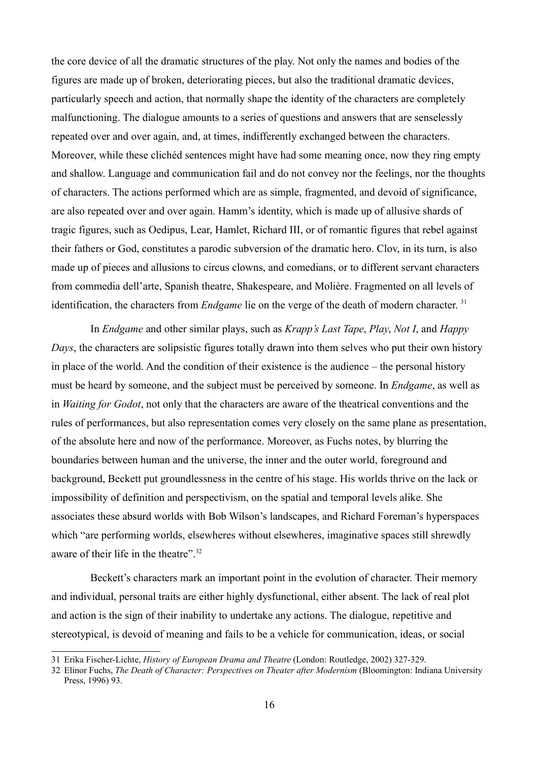the core device of all the dramatic structures of the play. Not only the names and bodies of the figures are made up of broken, deteriorating pieces, but also the traditional dramatic devices, particularly speech and action, that normally shape the identity of the characters are completely malfunctioning. The dialogue amounts to a series of questions and answers that are senselessly repeated over and over again, and, at times, indifferently exchanged between the characters. Moreover, while these clichéd sentences might have had some meaning once, now they ring empty and shallow. Language and communication fail and do not convey nor the feelings, nor the thoughts of characters. The actions performed which are as simple, fragmented, and devoid of significance, are also repeated over and over again. Hamm's identity, which is made up of allusive shards of tragic figures, such as Oedipus, Lear, Hamlet, Richard III, or of romantic figures that rebel against their fathers or God, constitutes a parodic subversion of the dramatic hero. Clov, in its turn, is also made up of pieces and allusions to circus clowns, and comedians, or to different servant characters from commedia dell'arte, Spanish theatre, Shakespeare, and Molière. Fragmented on all levels of identification, the characters from *Endgame* lie on the verge of the death of modern character.<sup>[31](#page-15-0)</sup>

In *Endgame* and other similar plays, such as *Krapp's Last Tape*, *Play*, *Not I*, and *Happy Days*, the characters are solipsistic figures totally drawn into them selves who put their own history in place of the world. And the condition of their existence is the audience – the personal history must be heard by someone, and the subject must be perceived by someone. In *Endgame*, as well as in *Waiting for Godot*, not only that the characters are aware of the theatrical conventions and the rules of performances, but also representation comes very closely on the same plane as presentation, of the absolute here and now of the performance. Moreover, as Fuchs notes, by blurring the boundaries between human and the universe, the inner and the outer world, foreground and background, Beckett put groundlessness in the centre of his stage. His worlds thrive on the lack or impossibility of definition and perspectivism, on the spatial and temporal levels alike. She associates these absurd worlds with Bob Wilson's landscapes, and Richard Foreman's hyperspaces which "are performing worlds, elsewheres without elsewheres, imaginative spaces still shrewdly aware of their life in the theatre" [32](#page-15-1)

Beckett's characters mark an important point in the evolution of character. Their memory and individual, personal traits are either highly dysfunctional, either absent. The lack of real plot and action is the sign of their inability to undertake any actions. The dialogue, repetitive and stereotypical, is devoid of meaning and fails to be a vehicle for communication, ideas, or social

<span id="page-15-0"></span><sup>31</sup> Erika Fischer-Lichte, *History of European Drama and Theatre* (London: Routledge, 2002) 327-329.

<span id="page-15-1"></span><sup>32</sup> Elinor Fuchs, *The Death of Character: Perspectives on Theater after Modernism* (Bloomington: Indiana University Press, 1996) 93.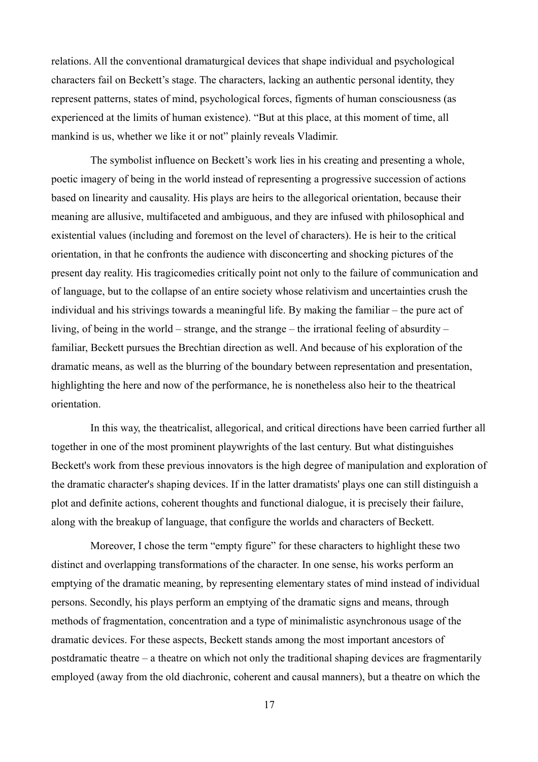relations. All the conventional dramaturgical devices that shape individual and psychological characters fail on Beckett's stage. The characters, lacking an authentic personal identity, they represent patterns, states of mind, psychological forces, figments of human consciousness (as experienced at the limits of human existence). "But at this place, at this moment of time, all mankind is us, whether we like it or not" plainly reveals Vladimir.

The symbolist influence on Beckett's work lies in his creating and presenting a whole, poetic imagery of being in the world instead of representing a progressive succession of actions based on linearity and causality. His plays are heirs to the allegorical orientation, because their meaning are allusive, multifaceted and ambiguous, and they are infused with philosophical and existential values (including and foremost on the level of characters). He is heir to the critical orientation, in that he confronts the audience with disconcerting and shocking pictures of the present day reality. His tragicomedies critically point not only to the failure of communication and of language, but to the collapse of an entire society whose relativism and uncertainties crush the individual and his strivings towards a meaningful life. By making the familiar – the pure act of living, of being in the world – strange, and the strange – the irrational feeling of absurdity – familiar, Beckett pursues the Brechtian direction as well. And because of his exploration of the dramatic means, as well as the blurring of the boundary between representation and presentation, highlighting the here and now of the performance, he is nonetheless also heir to the theatrical orientation.

In this way, the theatricalist, allegorical, and critical directions have been carried further all together in one of the most prominent playwrights of the last century. But what distinguishes Beckett's work from these previous innovators is the high degree of manipulation and exploration of the dramatic character's shaping devices. If in the latter dramatists' plays one can still distinguish a plot and definite actions, coherent thoughts and functional dialogue, it is precisely their failure, along with the breakup of language, that configure the worlds and characters of Beckett.

Moreover, I chose the term "empty figure" for these characters to highlight these two distinct and overlapping transformations of the character. In one sense, his works perform an emptying of the dramatic meaning, by representing elementary states of mind instead of individual persons. Secondly, his plays perform an emptying of the dramatic signs and means, through methods of fragmentation, concentration and a type of minimalistic asynchronous usage of the dramatic devices. For these aspects, Beckett stands among the most important ancestors of postdramatic theatre – a theatre on which not only the traditional shaping devices are fragmentarily employed (away from the old diachronic, coherent and causal manners), but a theatre on which the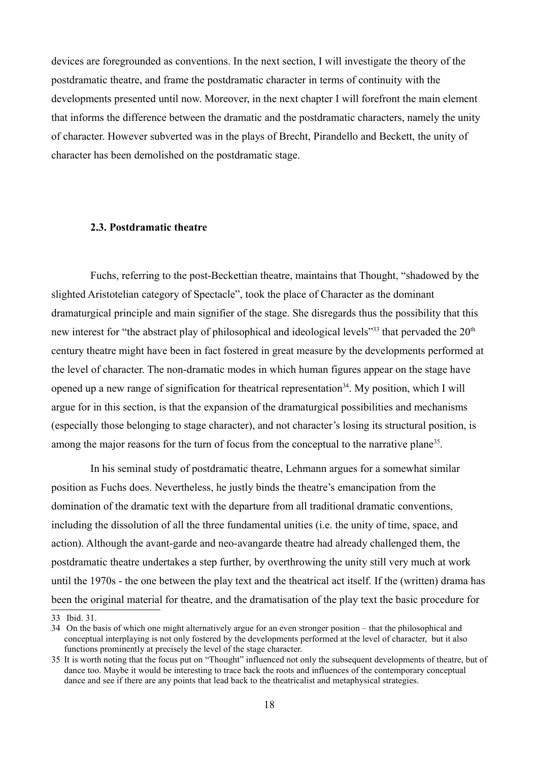devices are foregrounded as conventions. In the next section, I will investigate the theory of the postdramatic theatre, and frame the postdramatic character in terms of continuity with the developments presented until now. Moreover, in the next chapter I will forefront the main element that informs the difference between the dramatic and the postdramatic characters, namely the unity of character. However subverted was in the plays of Brecht, Pirandello and Beckett, the unity of character has been demolished on the postdramatic stage.

#### **2.3. Postdramatic theatre**

Fuchs, referring to the post-Beckettian theatre, maintains that Thought, "shadowed by the slighted Aristotelian category of Spectacle", took the place of Character as the dominant dramaturgical principle and main signifier of the stage. She disregards thus the possibility that this new interest for "the abstract play of philosophical and ideological levels"<sup>[33](#page-17-0)</sup> that pervaded the 20<sup>th</sup> century theatre might have been in fact fostered in great measure by the developments performed at the level of character. The non-dramatic modes in which human figures appear on the stage have opened up a new range of signification for theatrical representation<sup>[34](#page-17-1)</sup>. My position, which I will argue for in this section, is that the expansion of the dramaturgical possibilities and mechanisms (especially those belonging to stage character), and not character's losing its structural position, is among the major reasons for the turn of focus from the conceptual to the narrative plane<sup>[35](#page-17-2)</sup>.

In his seminal study of postdramatic theatre, Lehmann argues for a somewhat similar position as Fuchs does. Nevertheless, he justly binds the theatre's emancipation from the domination of the dramatic text with the departure from all traditional dramatic conventions, including the dissolution of all the three fundamental unities (i.e. the unity of time, space, and action). Although the avant-garde and neo-avangarde theatre had already challenged them, the postdramatic theatre undertakes a step further, by overthrowing the unity still very much at work until the 1970s - the one between the play text and the theatrical act itself. If the (written) drama has been the original material for theatre, and the dramatisation of the play text the basic procedure for

<span id="page-17-0"></span><sup>33</sup> Ibid. 31.

<span id="page-17-1"></span><sup>34</sup> On the basis of which one might alternatively argue for an even stronger position – that the philosophical and conceptual interplaying is not only fostered by the developments performed at the level of character, but it also functions prominently at precisely the level of the stage character.

<span id="page-17-2"></span><sup>35</sup> It is worth noting that the focus put on "Thought" influenced not only the subsequent developments of theatre, but of dance too. Maybe it would be interesting to trace back the roots and influences of the contemporary conceptual dance and see if there are any points that lead back to the theatricalist and metaphysical strategies.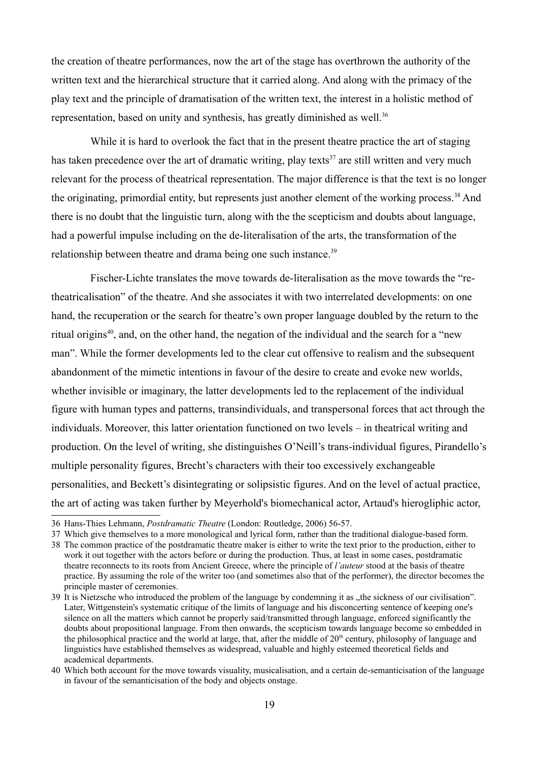the creation of theatre performances, now the art of the stage has overthrown the authority of the written text and the hierarchical structure that it carried along. And along with the primacy of the play text and the principle of dramatisation of the written text, the interest in a holistic method of representation, based on unity and synthesis, has greatly diminished as well.<sup>[36](#page-18-0)</sup>

While it is hard to overlook the fact that in the present theatre practice the art of staging has taken precedence over the art of dramatic writing, play texts<sup>[37](#page-18-1)</sup> are still written and very much relevant for the process of theatrical representation. The major difference is that the text is no longer the originating, primordial entity, but represents just another element of the working process.<sup>[38](#page-18-2)</sup> And there is no doubt that the linguistic turn, along with the the scepticism and doubts about language, had a powerful impulse including on the de-literalisation of the arts, the transformation of the relationship between theatre and drama being one such instance.<sup>[39](#page-18-3)</sup>

Fischer-Lichte translates the move towards de-literalisation as the move towards the "retheatricalisation" of the theatre. And she associates it with two interrelated developments: on one hand, the recuperation or the search for theatre's own proper language doubled by the return to the ritual origins<sup>[40](#page-18-4)</sup>, and, on the other hand, the negation of the individual and the search for a "new man". While the former developments led to the clear cut offensive to realism and the subsequent abandonment of the mimetic intentions in favour of the desire to create and evoke new worlds, whether invisible or imaginary, the latter developments led to the replacement of the individual figure with human types and patterns, transindividuals, and transpersonal forces that act through the individuals. Moreover, this latter orientation functioned on two levels – in theatrical writing and production. On the level of writing, she distinguishes O'Neill's trans-individual figures, Pirandello's multiple personality figures, Brecht's characters with their too excessively exchangeable personalities, and Beckett's disintegrating or solipsistic figures. And on the level of actual practice, the art of acting was taken further by Meyerhold's biomechanical actor, Artaud's hierogliphic actor,

<span id="page-18-0"></span><sup>36</sup> Hans-Thies Lehmann, *Postdramatic Theatre* (London: Routledge, 2006) 56-57.

<span id="page-18-1"></span><sup>37</sup> Which give themselves to a more monological and lyrical form, rather than the traditional dialogue-based form.

<span id="page-18-2"></span><sup>38</sup> The common practice of the postdramatic theatre maker is either to write the text prior to the production, either to work it out together with the actors before or during the production. Thus, at least in some cases, postdramatic theatre reconnects to its roots from Ancient Greece, where the principle of *l'auteur* stood at the basis of theatre practice. By assuming the role of the writer too (and sometimes also that of the performer), the director becomes the principle master of ceremonies.

<span id="page-18-3"></span><sup>39</sup> It is Nietzsche who introduced the problem of the language by condemning it as "the sickness of our civilisation". Later, Wittgenstein's systematic critique of the limits of language and his disconcerting sentence of keeping one's silence on all the matters which cannot be properly said/transmitted through language, enforced significantly the doubts about propositional language. From then onwards, the scepticism towards language become so embedded in the philosophical practice and the world at large, that, after the middle of  $20<sup>th</sup>$  century, philosophy of language and linguistics have established themselves as widespread, valuable and highly esteemed theoretical fields and academical departments.

<span id="page-18-4"></span><sup>40</sup> Which both account for the move towards visuality, musicalisation, and a certain de-semanticisation of the language in favour of the semanticisation of the body and objects onstage.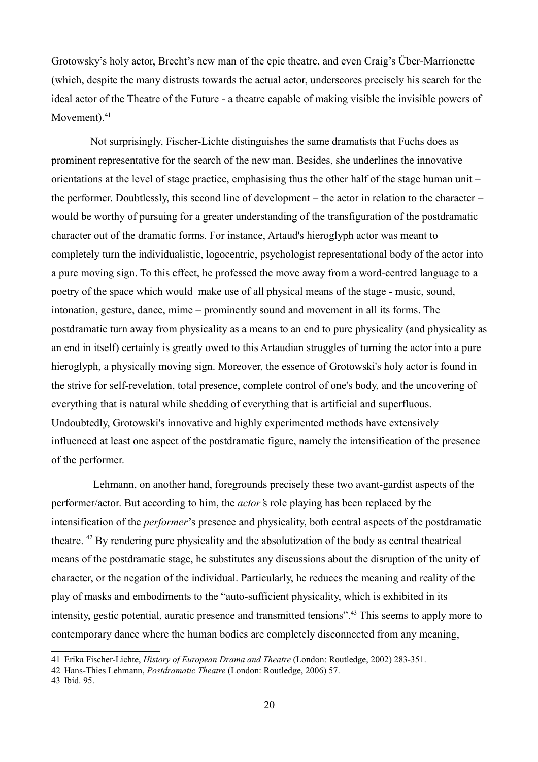Grotowsky's holy actor, Brecht's new man of the epic theatre, and even Craig's Über-Marrionette (which, despite the many distrusts towards the actual actor, underscores precisely his search for the ideal actor of the Theatre of the Future - a theatre capable of making visible the invisible powers of Movement) $41$ 

Not surprisingly, Fischer-Lichte distinguishes the same dramatists that Fuchs does as prominent representative for the search of the new man. Besides, she underlines the innovative orientations at the level of stage practice, emphasising thus the other half of the stage human unit – the performer. Doubtlessly, this second line of development – the actor in relation to the character – would be worthy of pursuing for a greater understanding of the transfiguration of the postdramatic character out of the dramatic forms. For instance, Artaud's hieroglyph actor was meant to completely turn the individualistic, logocentric, psychologist representational body of the actor into a pure moving sign. To this effect, he professed the move away from a word-centred language to a poetry of the space which would make use of all physical means of the stage - music, sound, intonation, gesture, dance, mime – prominently sound and movement in all its forms. The postdramatic turn away from physicality as a means to an end to pure physicality (and physicality as an end in itself) certainly is greatly owed to this Artaudian struggles of turning the actor into a pure hieroglyph, a physically moving sign. Moreover, the essence of Grotowski's holy actor is found in the strive for self-revelation, total presence, complete control of one's body, and the uncovering of everything that is natural while shedding of everything that is artificial and superfluous. Undoubtedly, Grotowski's innovative and highly experimented methods have extensively influenced at least one aspect of the postdramatic figure, namely the intensification of the presence of the performer.

Lehmann, on another hand, foregrounds precisely these two avant-gardist aspects of the performer/actor. But according to him, the *actor'*s role playing has been replaced by the intensification of the *performer*'s presence and physicality, both central aspects of the postdramatic theatre. [42](#page-19-1) By rendering pure physicality and the absolutization of the body as central theatrical means of the postdramatic stage, he substitutes any discussions about the disruption of the unity of character, or the negation of the individual. Particularly, he reduces the meaning and reality of the play of masks and embodiments to the "auto-sufficient physicality, which is exhibited in its intensity, gestic potential, auratic presence and transmitted tensions".[43](#page-19-2) This seems to apply more to contemporary dance where the human bodies are completely disconnected from any meaning,

<span id="page-19-0"></span><sup>41</sup> Erika Fischer-Lichte, *History of European Drama and Theatre* (London: Routledge, 2002) 283-351.

<span id="page-19-1"></span><sup>42</sup> Hans-Thies Lehmann, *Postdramatic Theatre* (London: Routledge, 2006) 57.

<span id="page-19-2"></span><sup>43</sup> Ibid. 95.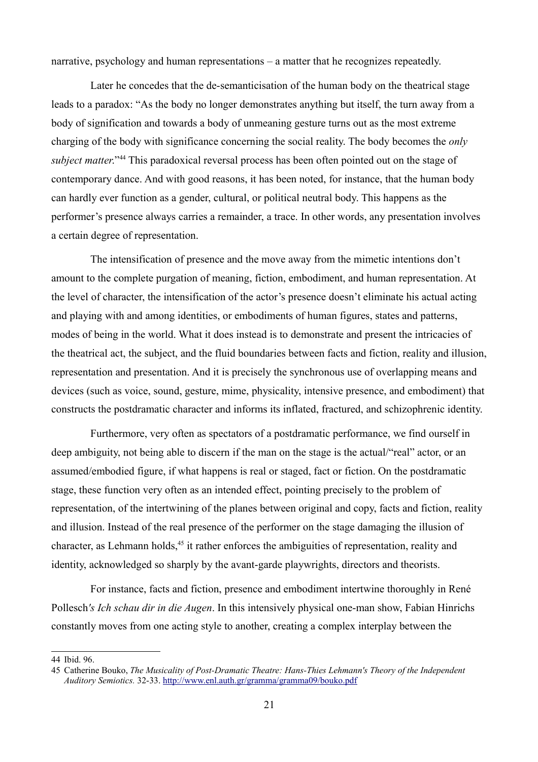narrative, psychology and human representations – a matter that he recognizes repeatedly.

Later he concedes that the de-semanticisation of the human body on the theatrical stage leads to a paradox: "As the body no longer demonstrates anything but itself, the turn away from a body of signification and towards a body of unmeaning gesture turns out as the most extreme charging of the body with significance concerning the social reality. The body becomes the *only subject matter.*"<sup>[44](#page-20-0)</sup> This paradoxical reversal process has been often pointed out on the stage of contemporary dance. And with good reasons, it has been noted, for instance, that the human body can hardly ever function as a gender, cultural, or political neutral body. This happens as the performer's presence always carries a remainder, a trace. In other words, any presentation involves a certain degree of representation.

The intensification of presence and the move away from the mimetic intentions don't amount to the complete purgation of meaning, fiction, embodiment, and human representation. At the level of character, the intensification of the actor's presence doesn't eliminate his actual acting and playing with and among identities, or embodiments of human figures, states and patterns, modes of being in the world. What it does instead is to demonstrate and present the intricacies of the theatrical act, the subject, and the fluid boundaries between facts and fiction, reality and illusion, representation and presentation. And it is precisely the synchronous use of overlapping means and devices (such as voice, sound, gesture, mime, physicality, intensive presence, and embodiment) that constructs the postdramatic character and informs its inflated, fractured, and schizophrenic identity.

Furthermore, very often as spectators of a postdramatic performance, we find ourself in deep ambiguity, not being able to discern if the man on the stage is the actual/"real" actor, or an assumed/embodied figure, if what happens is real or staged, fact or fiction. On the postdramatic stage, these function very often as an intended effect, pointing precisely to the problem of representation, of the intertwining of the planes between original and copy, facts and fiction, reality and illusion. Instead of the real presence of the performer on the stage damaging the illusion of character, as Lehmann holds,<sup>[45](#page-20-1)</sup> it rather enforces the ambiguities of representation, reality and identity, acknowledged so sharply by the avant-garde playwrights, directors and theorists.

For instance, facts and fiction, presence and embodiment intertwine thoroughly in René Pollesch*'s Ich schau dir in die Augen*. In this intensively physical one-man show, Fabian Hinrichs constantly moves from one acting style to another, creating a complex interplay between the

<span id="page-20-0"></span><sup>44</sup> Ibid. 96.

<span id="page-20-1"></span><sup>45</sup> Catherine Bouko, *The Musicality of Post-Dramatic Theatre: Hans-Thies Lehmann's Theory of the Independent Auditory Semiotics.* 32-33.<http://www.enl.auth.gr/gramma/gramma09/bouko.pdf>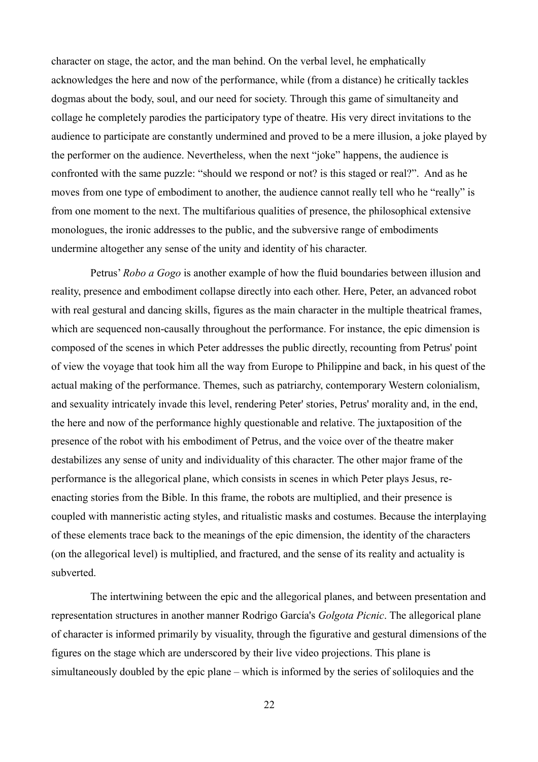character on stage, the actor, and the man behind. On the verbal level, he emphatically acknowledges the here and now of the performance, while (from a distance) he critically tackles dogmas about the body, soul, and our need for society. Through this game of simultaneity and collage he completely parodies the participatory type of theatre. His very direct invitations to the audience to participate are constantly undermined and proved to be a mere illusion, a joke played by the performer on the audience. Nevertheless, when the next "joke" happens, the audience is confronted with the same puzzle: "should we respond or not? is this staged or real?". And as he moves from one type of embodiment to another, the audience cannot really tell who he "really" is from one moment to the next. The multifarious qualities of presence, the philosophical extensive monologues, the ironic addresses to the public, and the subversive range of embodiments undermine altogether any sense of the unity and identity of his character.

Petrus' *Robo a Gogo* is another example of how the fluid boundaries between illusion and reality, presence and embodiment collapse directly into each other. Here, Peter, an advanced robot with real gestural and dancing skills, figures as the main character in the multiple theatrical frames, which are sequenced non-causally throughout the performance. For instance, the epic dimension is composed of the scenes in which Peter addresses the public directly, recounting from Petrus' point of view the voyage that took him all the way from Europe to Philippine and back, in his quest of the actual making of the performance. Themes, such as patriarchy, contemporary Western colonialism, and sexuality intricately invade this level, rendering Peter' stories, Petrus' morality and, in the end, the here and now of the performance highly questionable and relative. The juxtaposition of the presence of the robot with his embodiment of Petrus, and the voice over of the theatre maker destabilizes any sense of unity and individuality of this character. The other major frame of the performance is the allegorical plane, which consists in scenes in which Peter plays Jesus, reenacting stories from the Bible. In this frame, the robots are multiplied, and their presence is coupled with manneristic acting styles, and ritualistic masks and costumes. Because the interplaying of these elements trace back to the meanings of the epic dimension, the identity of the characters (on the allegorical level) is multiplied, and fractured, and the sense of its reality and actuality is subverted.

The intertwining between the epic and the allegorical planes, and between presentation and representation structures in another manner Rodrigo García's *Golgota Picnic*. The allegorical plane of character is informed primarily by visuality, through the figurative and gestural dimensions of the figures on the stage which are underscored by their live video projections. This plane is simultaneously doubled by the epic plane – which is informed by the series of soliloquies and the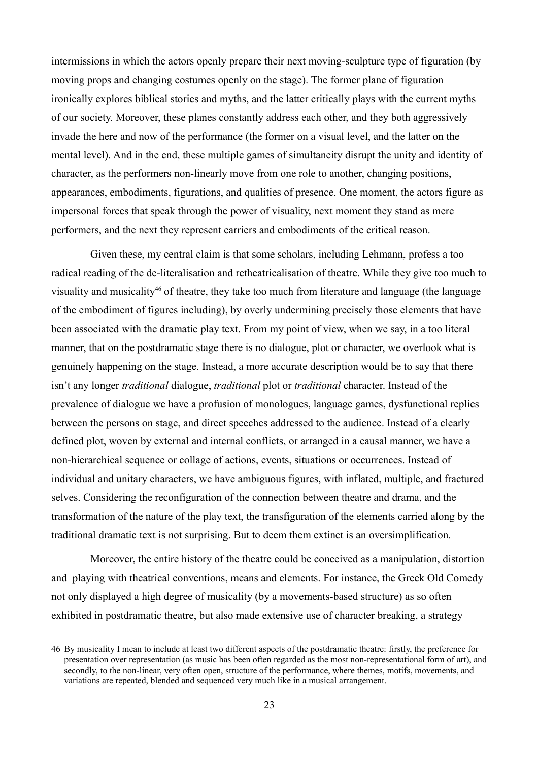intermissions in which the actors openly prepare their next moving-sculpture type of figuration (by moving props and changing costumes openly on the stage). The former plane of figuration ironically explores biblical stories and myths, and the latter critically plays with the current myths of our society. Moreover, these planes constantly address each other, and they both aggressively invade the here and now of the performance (the former on a visual level, and the latter on the mental level). And in the end, these multiple games of simultaneity disrupt the unity and identity of character, as the performers non-linearly move from one role to another, changing positions, appearances, embodiments, figurations, and qualities of presence. One moment, the actors figure as impersonal forces that speak through the power of visuality, next moment they stand as mere performers, and the next they represent carriers and embodiments of the critical reason.

Given these, my central claim is that some scholars, including Lehmann, profess a too radical reading of the de-literalisation and retheatricalisation of theatre. While they give too much to visuality and musicality<sup>[46](#page-22-0)</sup> of theatre, they take too much from literature and language (the language of the embodiment of figures including), by overly undermining precisely those elements that have been associated with the dramatic play text. From my point of view, when we say, in a too literal manner, that on the postdramatic stage there is no dialogue, plot or character, we overlook what is genuinely happening on the stage. Instead, a more accurate description would be to say that there isn't any longer *traditional* dialogue, *traditional* plot or *traditional* character. Instead of the prevalence of dialogue we have a profusion of monologues, language games, dysfunctional replies between the persons on stage, and direct speeches addressed to the audience. Instead of a clearly defined plot, woven by external and internal conflicts, or arranged in a causal manner, we have a non-hierarchical sequence or collage of actions, events, situations or occurrences. Instead of individual and unitary characters, we have ambiguous figures, with inflated, multiple, and fractured selves. Considering the reconfiguration of the connection between theatre and drama, and the transformation of the nature of the play text, the transfiguration of the elements carried along by the traditional dramatic text is not surprising. But to deem them extinct is an oversimplification.

Moreover, the entire history of the theatre could be conceived as a manipulation, distortion and playing with theatrical conventions, means and elements. For instance, the Greek Old Comedy not only displayed a high degree of musicality (by a movements-based structure) as so often exhibited in postdramatic theatre, but also made extensive use of character breaking, a strategy

<span id="page-22-0"></span><sup>46</sup> By musicality I mean to include at least two different aspects of the postdramatic theatre: firstly, the preference for presentation over representation (as music has been often regarded as the most non-representational form of art), and secondly, to the non-linear, very often open, structure of the performance, where themes, motifs, movements, and variations are repeated, blended and sequenced very much like in a musical arrangement.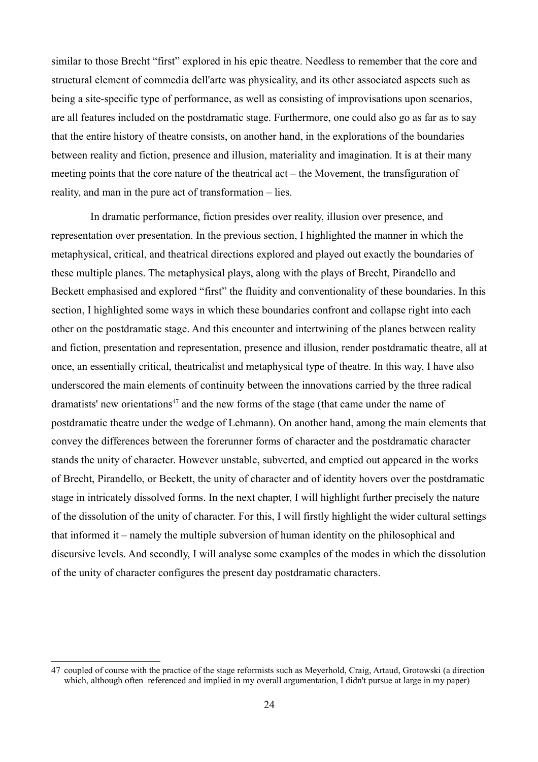similar to those Brecht "first" explored in his epic theatre. Needless to remember that the core and structural element of commedia dell'arte was physicality, and its other associated aspects such as being a site-specific type of performance, as well as consisting of improvisations upon scenarios, are all features included on the postdramatic stage. Furthermore, one could also go as far as to say that the entire history of theatre consists, on another hand, in the explorations of the boundaries between reality and fiction, presence and illusion, materiality and imagination. It is at their many meeting points that the core nature of the theatrical act – the Movement, the transfiguration of reality, and man in the pure act of transformation – lies.

In dramatic performance, fiction presides over reality, illusion over presence, and representation over presentation. In the previous section, I highlighted the manner in which the metaphysical, critical, and theatrical directions explored and played out exactly the boundaries of these multiple planes. The metaphysical plays, along with the plays of Brecht, Pirandello and Beckett emphasised and explored "first" the fluidity and conventionality of these boundaries. In this section, I highlighted some ways in which these boundaries confront and collapse right into each other on the postdramatic stage. And this encounter and intertwining of the planes between reality and fiction, presentation and representation, presence and illusion, render postdramatic theatre, all at once, an essentially critical, theatricalist and metaphysical type of theatre. In this way, I have also underscored the main elements of continuity between the innovations carried by the three radical dramatists' new orientations<sup> $47$ </sup> and the new forms of the stage (that came under the name of postdramatic theatre under the wedge of Lehmann). On another hand, among the main elements that convey the differences between the forerunner forms of character and the postdramatic character stands the unity of character. However unstable, subverted, and emptied out appeared in the works of Brecht, Pirandello, or Beckett, the unity of character and of identity hovers over the postdramatic stage in intricately dissolved forms. In the next chapter, I will highlight further precisely the nature of the dissolution of the unity of character. For this, I will firstly highlight the wider cultural settings that informed it – namely the multiple subversion of human identity on the philosophical and discursive levels. And secondly, I will analyse some examples of the modes in which the dissolution of the unity of character configures the present day postdramatic characters.

<span id="page-23-0"></span><sup>47</sup> coupled of course with the practice of the stage reformists such as Meyerhold, Craig, Artaud, Grotowski (a direction which, although often referenced and implied in my overall argumentation. I didn't pursue at large in my paper)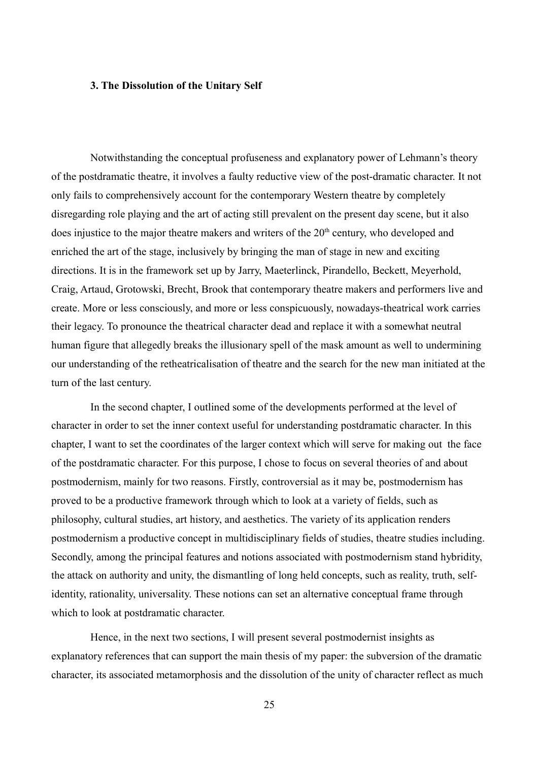## **3. The Dissolution of the Unitary Self**

Notwithstanding the conceptual profuseness and explanatory power of Lehmann's theory of the postdramatic theatre, it involves a faulty reductive view of the post-dramatic character. It not only fails to comprehensively account for the contemporary Western theatre by completely disregarding role playing and the art of acting still prevalent on the present day scene, but it also does injustice to the major theatre makers and writers of the  $20<sup>th</sup>$  century, who developed and enriched the art of the stage, inclusively by bringing the man of stage in new and exciting directions. It is in the framework set up by Jarry, Maeterlinck, Pirandello, Beckett, Meyerhold, Craig, Artaud, Grotowski, Brecht, Brook that contemporary theatre makers and performers live and create. More or less consciously, and more or less conspicuously, nowadays-theatrical work carries their legacy. To pronounce the theatrical character dead and replace it with a somewhat neutral human figure that allegedly breaks the illusionary spell of the mask amount as well to undermining our understanding of the retheatricalisation of theatre and the search for the new man initiated at the turn of the last century.

In the second chapter, I outlined some of the developments performed at the level of character in order to set the inner context useful for understanding postdramatic character. In this chapter, I want to set the coordinates of the larger context which will serve for making out the face of the postdramatic character. For this purpose, I chose to focus on several theories of and about postmodernism, mainly for two reasons. Firstly, controversial as it may be, postmodernism has proved to be a productive framework through which to look at a variety of fields, such as philosophy, cultural studies, art history, and aesthetics. The variety of its application renders postmodernism a productive concept in multidisciplinary fields of studies, theatre studies including. Secondly, among the principal features and notions associated with postmodernism stand hybridity, the attack on authority and unity, the dismantling of long held concepts, such as reality, truth, selfidentity, rationality, universality. These notions can set an alternative conceptual frame through which to look at postdramatic character.

Hence, in the next two sections, I will present several postmodernist insights as explanatory references that can support the main thesis of my paper: the subversion of the dramatic character, its associated metamorphosis and the dissolution of the unity of character reflect as much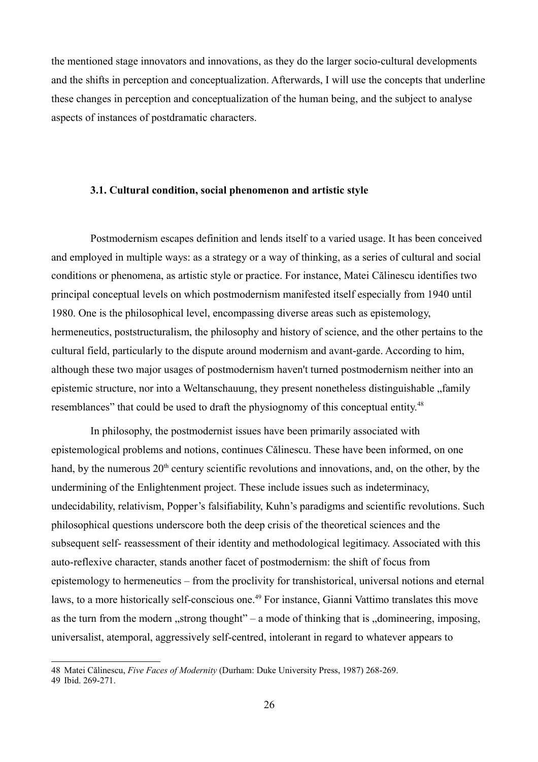the mentioned stage innovators and innovations, as they do the larger socio-cultural developments and the shifts in perception and conceptualization. Afterwards, I will use the concepts that underline these changes in perception and conceptualization of the human being, and the subject to analyse aspects of instances of postdramatic characters.

# **3.1. Cultural condition, social phenomenon and artistic style**

Postmodernism escapes definition and lends itself to a varied usage. It has been conceived and employed in multiple ways: as a strategy or a way of thinking, as a series of cultural and social conditions or phenomena, as artistic style or practice. For instance, Matei Călinescu identifies two principal conceptual levels on which postmodernism manifested itself especially from 1940 until 1980. One is the philosophical level, encompassing diverse areas such as epistemology, hermeneutics, poststructuralism, the philosophy and history of science, and the other pertains to the cultural field, particularly to the dispute around modernism and avant-garde. According to him, although these two major usages of postmodernism haven't turned postmodernism neither into an epistemic structure, nor into a Weltanschauung, they present nonetheless distinguishable , family resemblances" that could be used to draft the physiognomy of this conceptual entity.<sup>[48](#page-25-0)</sup>

In philosophy, the postmodernist issues have been primarily associated with epistemological problems and notions, continues Călinescu. These have been informed, on one hand, by the numerous  $20<sup>th</sup>$  century scientific revolutions and innovations, and, on the other, by the undermining of the Enlightenment project. These include issues such as indeterminacy, undecidability, relativism, Popper's falsifiability, Kuhn's paradigms and scientific revolutions. Such philosophical questions underscore both the deep crisis of the theoretical sciences and the subsequent self- reassessment of their identity and methodological legitimacy. Associated with this auto-reflexive character, stands another facet of postmodernism: the shift of focus from epistemology to hermeneutics – from the proclivity for transhistorical, universal notions and eternal laws, to a more historically self-conscious one.<sup>[49](#page-25-1)</sup> For instance, Gianni Vattimo translates this move as the turn from the modern  $\alpha$ , strong thought" – a mode of thinking that is  $\alpha$  domineering, imposing, universalist, atemporal, aggressively self-centred, intolerant in regard to whatever appears to

<span id="page-25-1"></span><span id="page-25-0"></span><sup>48</sup> Matei Călinescu, *Five Faces of Modernity* (Durham: Duke University Press, 1987) 268-269. 49 Ibid. 269-271.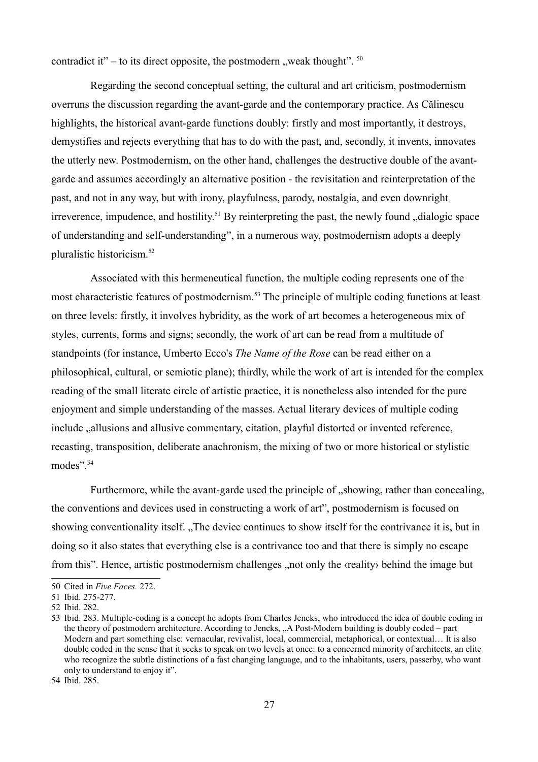contradict it" – to its direct opposite, the postmodern , weak thought".  $50$ 

Regarding the second conceptual setting, the cultural and art criticism, postmodernism overruns the discussion regarding the avant-garde and the contemporary practice. As Călinescu highlights, the historical avant-garde functions doubly: firstly and most importantly, it destroys, demystifies and rejects everything that has to do with the past, and, secondly, it invents, innovates the utterly new. Postmodernism, on the other hand, challenges the destructive double of the avantgarde and assumes accordingly an alternative position - the revisitation and reinterpretation of the past, and not in any way, but with irony, playfulness, parody, nostalgia, and even downright irreverence, impudence, and hostility.<sup>[51](#page-26-1)</sup> By reinterpreting the past, the newly found  $\alpha$  dialogic space of understanding and self-understanding", in a numerous way, postmodernism adopts a deeply pluralistic historicism.[52](#page-26-2)

Associated with this hermeneutical function, the multiple coding represents one of the most characteristic features of postmodernism.<sup>[53](#page-26-3)</sup> The principle of multiple coding functions at least on three levels: firstly, it involves hybridity, as the work of art becomes a heterogeneous mix of styles, currents, forms and signs; secondly, the work of art can be read from a multitude of standpoints (for instance, Umberto Ecco's *The Name of the Rose* can be read either on a philosophical, cultural, or semiotic plane); thirdly, while the work of art is intended for the complex reading of the small literate circle of artistic practice, it is nonetheless also intended for the pure enjoyment and simple understanding of the masses. Actual literary devices of multiple coding include  $\alpha$ , allusions and allusive commentary, citation, playful distorted or invented reference, recasting, transposition, deliberate anachronism, the mixing of two or more historical or stylistic modes". [54](#page-26-4)

Furthermore, while the avant-garde used the principle of "showing, rather than concealing, the conventions and devices used in constructing a work of art", postmodernism is focused on showing conventionality itself. "The device continues to show itself for the contrivance it is, but in doing so it also states that everything else is a contrivance too and that there is simply no escape from this". Hence, artistic postmodernism challenges , not only the «reality» behind the image but

<span id="page-26-0"></span><sup>50</sup> Cited in *Five Faces.* 272.

<span id="page-26-1"></span><sup>51</sup> Ibid. 275-277.

<span id="page-26-2"></span><sup>52</sup> Ibid. 282.

<span id="page-26-3"></span><sup>53</sup> Ibid. 283. Multiple-coding is a concept he adopts from Charles Jencks, who introduced the idea of double coding in the theory of postmodern architecture. According to Jencks, "A Post-Modern building is doubly coded – part Modern and part something else: vernacular, revivalist, local, commercial, metaphorical, or contextual… It is also double coded in the sense that it seeks to speak on two levels at once: to a concerned minority of architects, an elite who recognize the subtle distinctions of a fast changing language, and to the inhabitants, users, passerby, who want only to understand to enjoy it".

<span id="page-26-4"></span><sup>54</sup> Ibid. 285.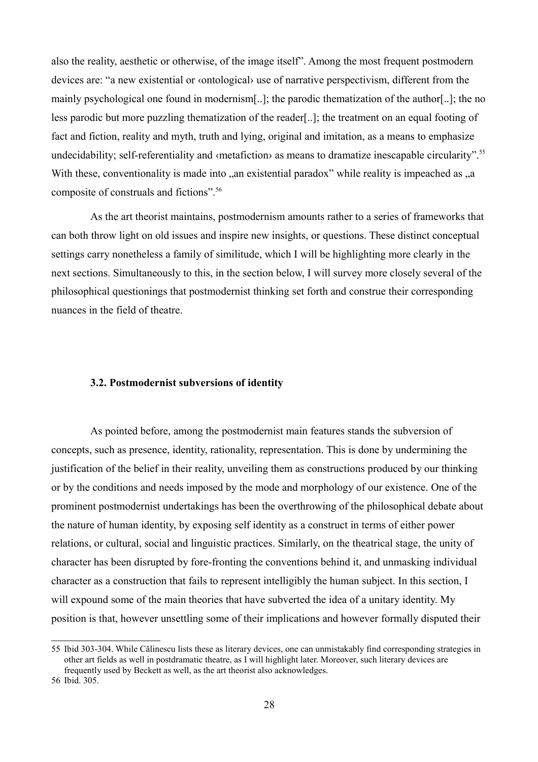also the reality, aesthetic or otherwise, of the image itself". Among the most frequent postmodern devices are: "a new existential or ‹ontological› use of narrative perspectivism, different from the mainly psychological one found in modernism[..]; the parodic thematization of the author[..]; the no less parodic but more puzzling thematization of the reader[..]; the treatment on an equal footing of fact and fiction, reality and myth, truth and lying, original and imitation, as a means to emphasize undecidability; self-referentiality and «metafiction» as means to dramatize inescapable circularity".<sup>[55](#page-27-0)</sup> With these, conventionality is made into , an existential paradox" while reality is impeached as  $\alpha$ , a composite of construals and fictions".[56](#page-27-1)

As the art theorist maintains, postmodernism amounts rather to a series of frameworks that can both throw light on old issues and inspire new insights, or questions. These distinct conceptual settings carry nonetheless a family of similitude, which I will be highlighting more clearly in the next sections. Simultaneously to this, in the section below, I will survey more closely several of the philosophical questionings that postmodernist thinking set forth and construe their corresponding nuances in the field of theatre.

# **3.2. Postmodernist subversions of identity**

As pointed before, among the postmodernist main features stands the subversion of concepts, such as presence, identity, rationality, representation. This is done by undermining the justification of the belief in their reality, unveiling them as constructions produced by our thinking or by the conditions and needs imposed by the mode and morphology of our existence. One of the prominent postmodernist undertakings has been the overthrowing of the philosophical debate about the nature of human identity, by exposing self identity as a construct in terms of either power relations, or cultural, social and linguistic practices. Similarly, on the theatrical stage, the unity of character has been disrupted by fore-fronting the conventions behind it, and unmasking individual character as a construction that fails to represent intelligibly the human subject. In this section, I will expound some of the main theories that have subverted the idea of a unitary identity. My position is that, however unsettling some of their implications and however formally disputed their

<span id="page-27-0"></span><sup>55</sup> Ibid 303-304. While Călinescu lists these as literary devices, one can unmistakably find corresponding strategies in other art fields as well in postdramatic theatre, as I will highlight later. Moreover, such literary devices are frequently used by Beckett as well, as the art theorist also acknowledges.

<span id="page-27-1"></span><sup>56</sup> Ibid. 305.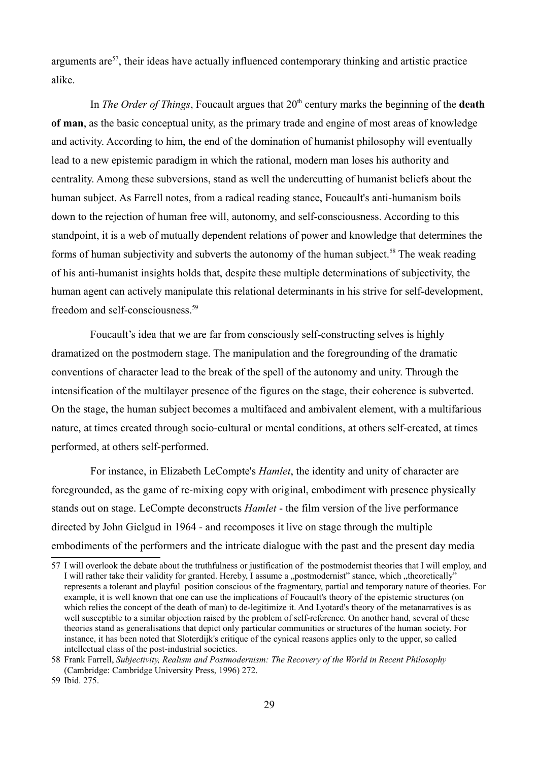arguments are<sup>[57](#page-28-0)</sup>, their ideas have actually influenced contemporary thinking and artistic practice alike.

In *The Order of Things*, Foucault argues that 20<sup>th</sup> century marks the beginning of the **death of man**, as the basic conceptual unity, as the primary trade and engine of most areas of knowledge and activity. According to him, the end of the domination of humanist philosophy will eventually lead to a new epistemic paradigm in which the rational, modern man loses his authority and centrality. Among these subversions, stand as well the undercutting of humanist beliefs about the human subject. As Farrell notes, from a radical reading stance, Foucault's anti-humanism boils down to the rejection of human free will, autonomy, and self-consciousness. According to this standpoint, it is a web of mutually dependent relations of power and knowledge that determines the forms of human subjectivity and subverts the autonomy of the human subject.<sup>[58](#page-28-1)</sup> The weak reading of his anti-humanist insights holds that, despite these multiple determinations of subjectivity, the human agent can actively manipulate this relational determinants in his strive for self-development, freedom and self-consciousness.<sup>[59](#page-28-2)</sup>

Foucault's idea that we are far from consciously self-constructing selves is highly dramatized on the postmodern stage. The manipulation and the foregrounding of the dramatic conventions of character lead to the break of the spell of the autonomy and unity. Through the intensification of the multilayer presence of the figures on the stage, their coherence is subverted. On the stage, the human subject becomes a multifaced and ambivalent element, with a multifarious nature, at times created through socio-cultural or mental conditions, at others self-created, at times performed, at others self-performed.

For instance, in Elizabeth LeCompte's *Hamlet*, the identity and unity of character are foregrounded, as the game of re-mixing copy with original, embodiment with presence physically stands out on stage. LeCompte deconstructs *Hamlet* - the film version of the live performance directed by John Gielgud in 1964 - and recomposes it live on stage through the multiple embodiments of the performers and the intricate dialogue with the past and the present day media

<span id="page-28-0"></span><sup>57</sup> I will overlook the debate about the truthfulness or justification of the postmodernist theories that I will employ, and I will rather take their validity for granted. Hereby, I assume a "postmodernist" stance, which "theoretically" represents a tolerant and playful position conscious of the fragmentary, partial and temporary nature of theories. For example, it is well known that one can use the implications of Foucault's theory of the epistemic structures (on which relies the concept of the death of man) to de-legitimize it. And Lyotard's theory of the metanarratives is as well susceptible to a similar objection raised by the problem of self-reference. On another hand, several of these theories stand as generalisations that depict only particular communities or structures of the human society. For instance, it has been noted that Sloterdijk's critique of the cynical reasons applies only to the upper, so called intellectual class of the post-industrial societies.

<span id="page-28-1"></span><sup>58</sup> Frank Farrell, *Subjectivity, Realism and Postmodernism: The Recovery of the World in Recent Philosophy* (Cambridge: Cambridge University Press, 1996) 272.

<span id="page-28-2"></span><sup>59</sup> Ibid. 275.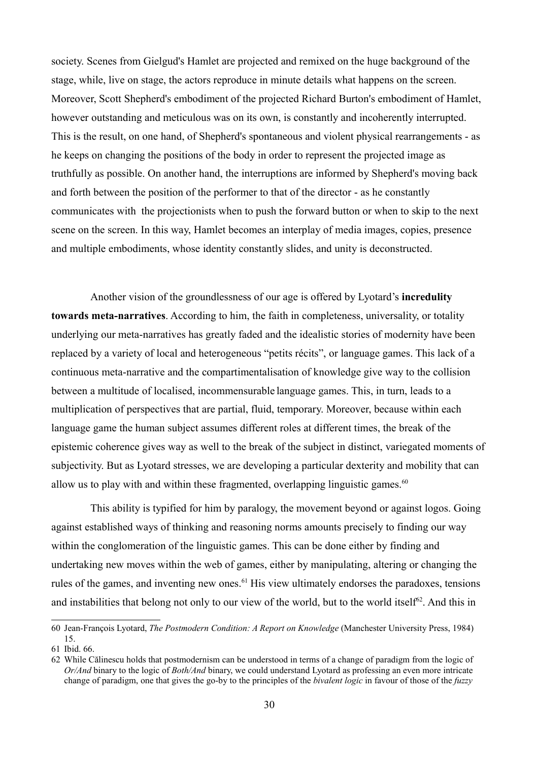society. Scenes from Gielgud's Hamlet are projected and remixed on the huge background of the stage, while, live on stage, the actors reproduce in minute details what happens on the screen. Moreover, Scott Shepherd's embodiment of the projected Richard Burton's embodiment of Hamlet, however outstanding and meticulous was on its own, is constantly and incoherently interrupted. This is the result, on one hand, of Shepherd's spontaneous and violent physical rearrangements - as he keeps on changing the positions of the body in order to represent the projected image as truthfully as possible. On another hand, the interruptions are informed by Shepherd's moving back and forth between the position of the performer to that of the director - as he constantly communicates with the projectionists when to push the forward button or when to skip to the next scene on the screen. In this way, Hamlet becomes an interplay of media images, copies, presence and multiple embodiments, whose identity constantly slides, and unity is deconstructed.

Another vision of the groundlessness of our age is offered by Lyotard's **incredulity towards meta-narratives**. According to him, the faith in completeness, universality, or totality underlying our meta-narratives has greatly faded and the idealistic stories of modernity have been replaced by a variety of local and heterogeneous "petits récits", or language games. This lack of a continuous meta-narrative and the compartimentalisation of knowledge give way to the collision between a multitude of localised, incommensurable language games. This, in turn, leads to a multiplication of perspectives that are partial, fluid, temporary. Moreover, because within each language game the human subject assumes different roles at different times, the break of the epistemic coherence gives way as well to the break of the subject in distinct, variegated moments of subjectivity. But as Lyotard stresses, we are developing a particular dexterity and mobility that can allow us to play with and within these fragmented, overlapping linguistic games.<sup>[60](#page-29-0)</sup>

This ability is typified for him by paralogy, the movement beyond or against logos. Going against established ways of thinking and reasoning norms amounts precisely to finding our way within the conglomeration of the linguistic games. This can be done either by finding and undertaking new moves within the web of games, either by manipulating, altering or changing the rules of the games, and inventing new ones.<sup>[61](#page-29-1)</sup> His view ultimately endorses the paradoxes, tensions and instabilities that belong not only to our view of the world, but to the world itself<sup>[62](#page-29-2)</sup>. And this in

<span id="page-29-0"></span><sup>60</sup> Jean-François Lyotard, *The Postmodern Condition: A Report on Knowledge* (Manchester University Press, 1984) 15.

<span id="page-29-1"></span><sup>61</sup> Ibid. 66.

<span id="page-29-2"></span><sup>62</sup> While Călinescu holds that postmodernism can be understood in terms of a change of paradigm from the logic of *Or/And* binary to the logic of *Both/And* binary, we could understand Lyotard as professing an even more intricate change of paradigm, one that gives the go-by to the principles of the *bivalent logic* in favour of those of the *fuzzy*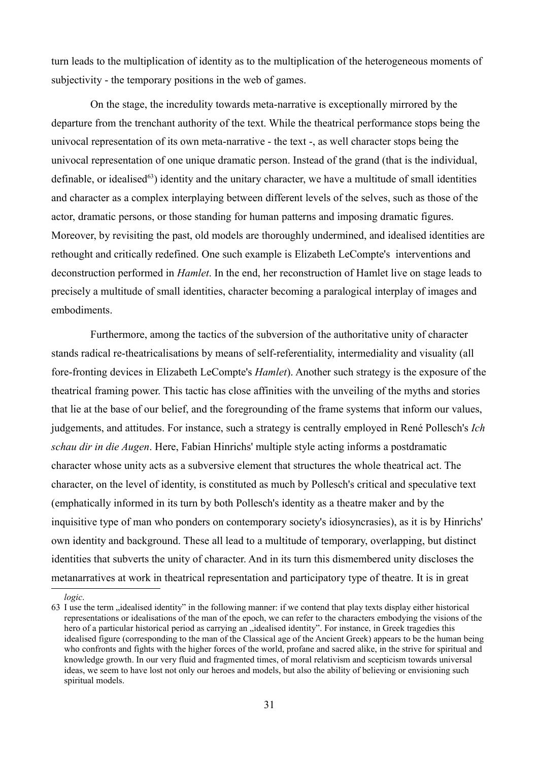turn leads to the multiplication of identity as to the multiplication of the heterogeneous moments of subjectivity - the temporary positions in the web of games.

On the stage, the incredulity towards meta-narrative is exceptionally mirrored by the departure from the trenchant authority of the text. While the theatrical performance stops being the univocal representation of its own meta-narrative - the text -, as well character stops being the univocal representation of one unique dramatic person. Instead of the grand (that is the individual, definable, or idealised $^{63}$  $^{63}$  $^{63}$ ) identity and the unitary character, we have a multitude of small identities and character as a complex interplaying between different levels of the selves, such as those of the actor, dramatic persons, or those standing for human patterns and imposing dramatic figures. Moreover, by revisiting the past, old models are thoroughly undermined, and idealised identities are rethought and critically redefined. One such example is Elizabeth LeCompte's interventions and deconstruction performed in *Hamlet*. In the end, her reconstruction of Hamlet live on stage leads to precisely a multitude of small identities, character becoming a paralogical interplay of images and embodiments.

Furthermore, among the tactics of the subversion of the authoritative unity of character stands radical re-theatricalisations by means of self-referentiality, intermediality and visuality (all fore-fronting devices in Elizabeth LeCompte's *Hamlet*). Another such strategy is the exposure of the theatrical framing power. This tactic has close affinities with the unveiling of the myths and stories that lie at the base of our belief, and the foregrounding of the frame systems that inform our values, judgements, and attitudes. For instance, such a strategy is centrally employed in René Pollesch's *Ich schau dir in die Augen*. Here, Fabian Hinrichs' multiple style acting informs a postdramatic character whose unity acts as a subversive element that structures the whole theatrical act. The character, on the level of identity, is constituted as much by Pollesch's critical and speculative text (emphatically informed in its turn by both Pollesch's identity as a theatre maker and by the inquisitive type of man who ponders on contemporary society's idiosyncrasies), as it is by Hinrichs' own identity and background. These all lead to a multitude of temporary, overlapping, but distinct identities that subverts the unity of character. And in its turn this dismembered unity discloses the metanarratives at work in theatrical representation and participatory type of theatre. It is in great

<span id="page-30-0"></span>*logic*.

<sup>63</sup> I use the term "idealised identity" in the following manner: if we contend that play texts display either historical representations or idealisations of the man of the epoch, we can refer to the characters embodying the visions of the hero of a particular historical period as carrying an "idealised identity". For instance, in Greek tragedies this idealised figure (corresponding to the man of the Classical age of the Ancient Greek) appears to be the human being who confronts and fights with the higher forces of the world, profane and sacred alike, in the strive for spiritual and knowledge growth. In our very fluid and fragmented times, of moral relativism and scepticism towards universal ideas, we seem to have lost not only our heroes and models, but also the ability of believing or envisioning such spiritual models.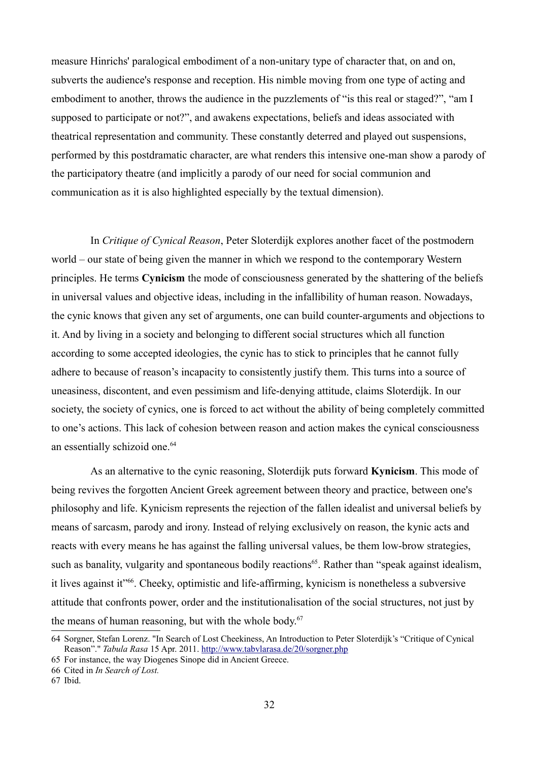measure Hinrichs' paralogical embodiment of a non-unitary type of character that, on and on, subverts the audience's response and reception. His nimble moving from one type of acting and embodiment to another, throws the audience in the puzzlements of "is this real or staged?", "am I supposed to participate or not?", and awakens expectations, beliefs and ideas associated with theatrical representation and community. These constantly deterred and played out suspensions, performed by this postdramatic character, are what renders this intensive one-man show a parody of the participatory theatre (and implicitly a parody of our need for social communion and communication as it is also highlighted especially by the textual dimension).

In *Critique of Cynical Reason*, Peter Sloterdijk explores another facet of the postmodern world – our state of being given the manner in which we respond to the contemporary Western principles. He terms **Cynicism** the mode of consciousness generated by the shattering of the beliefs in universal values and objective ideas, including in the infallibility of human reason. Nowadays, the cynic knows that given any set of arguments, one can build counter-arguments and objections to it. And by living in a society and belonging to different social structures which all function according to some accepted ideologies, the cynic has to stick to principles that he cannot fully adhere to because of reason's incapacity to consistently justify them. This turns into a source of uneasiness, discontent, and even pessimism and life-denying attitude, claims Sloterdijk. In our society, the society of cynics, one is forced to act without the ability of being completely committed to one's actions. This lack of cohesion between reason and action makes the cynical consciousness an essentially schizoid one.<sup>[64](#page-31-0)</sup>

As an alternative to the cynic reasoning, Sloterdijk puts forward **Kynicism**. This mode of being revives the forgotten Ancient Greek agreement between theory and practice, between one's philosophy and life. Kynicism represents the rejection of the fallen idealist and universal beliefs by means of sarcasm, parody and irony. Instead of relying exclusively on reason, the kynic acts and reacts with every means he has against the falling universal values, be them low-brow strategies, such as banality, vulgarity and spontaneous bodily reactions<sup>[65](#page-31-1)</sup>. Rather than "speak against idealism, it lives against it"<sup>[66](#page-31-2)</sup>. Cheeky, optimistic and life-affirming, kynicism is nonetheless a subversive attitude that confronts power, order and the institutionalisation of the social structures, not just by the means of human reasoning, but with the whole body.<sup>[67](#page-31-3)</sup>

<span id="page-31-0"></span><sup>64</sup> Sorgner, Stefan Lorenz. "In Search of Lost Cheekiness, An Introduction to Peter Sloterdijk's "Critique of Cynical Reason"." *Tabula Rasa* 15 Apr. 2011.<http://www.tabvlarasa.de/20/sorgner.php>

<span id="page-31-1"></span><sup>65</sup> For instance, the way Diogenes Sinope did in Ancient Greece.

<span id="page-31-2"></span><sup>66</sup> Cited in *In Search of Lost.*

<span id="page-31-3"></span><sup>67</sup> Ibid.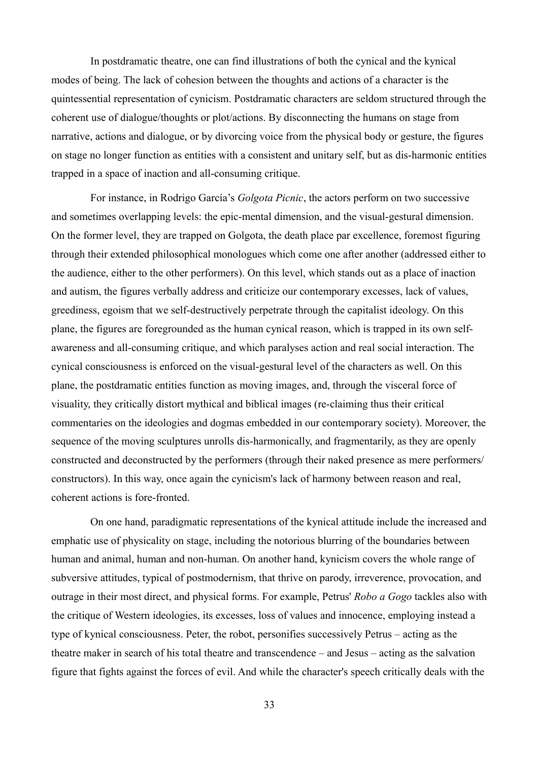In postdramatic theatre, one can find illustrations of both the cynical and the kynical modes of being. The lack of cohesion between the thoughts and actions of a character is the quintessential representation of cynicism. Postdramatic characters are seldom structured through the coherent use of dialogue/thoughts or plot/actions. By disconnecting the humans on stage from narrative, actions and dialogue, or by divorcing voice from the physical body or gesture, the figures on stage no longer function as entities with a consistent and unitary self, but as dis-harmonic entities trapped in a space of inaction and all-consuming critique.

For instance, in Rodrigo García's *Golgota Picnic*, the actors perform on two successive and sometimes overlapping levels: the epic-mental dimension, and the visual-gestural dimension. On the former level, they are trapped on Golgota, the death place par excellence, foremost figuring through their extended philosophical monologues which come one after another (addressed either to the audience, either to the other performers). On this level, which stands out as a place of inaction and autism, the figures verbally address and criticize our contemporary excesses, lack of values, greediness, egoism that we self-destructively perpetrate through the capitalist ideology. On this plane, the figures are foregrounded as the human cynical reason, which is trapped in its own selfawareness and all-consuming critique, and which paralyses action and real social interaction. The cynical consciousness is enforced on the visual-gestural level of the characters as well. On this plane, the postdramatic entities function as moving images, and, through the visceral force of visuality, they critically distort mythical and biblical images (re-claiming thus their critical commentaries on the ideologies and dogmas embedded in our contemporary society). Moreover, the sequence of the moving sculptures unrolls dis-harmonically, and fragmentarily, as they are openly constructed and deconstructed by the performers (through their naked presence as mere performers/ constructors). In this way, once again the cynicism's lack of harmony between reason and real, coherent actions is fore-fronted.

On one hand, paradigmatic representations of the kynical attitude include the increased and emphatic use of physicality on stage, including the notorious blurring of the boundaries between human and animal, human and non-human. On another hand, kynicism covers the whole range of subversive attitudes, typical of postmodernism, that thrive on parody, irreverence, provocation, and outrage in their most direct, and physical forms. For example, Petrus' *Robo a Gogo* tackles also with the critique of Western ideologies, its excesses, loss of values and innocence, employing instead a type of kynical consciousness. Peter, the robot, personifies successively Petrus – acting as the theatre maker in search of his total theatre and transcendence – and Jesus – acting as the salvation figure that fights against the forces of evil. And while the character's speech critically deals with the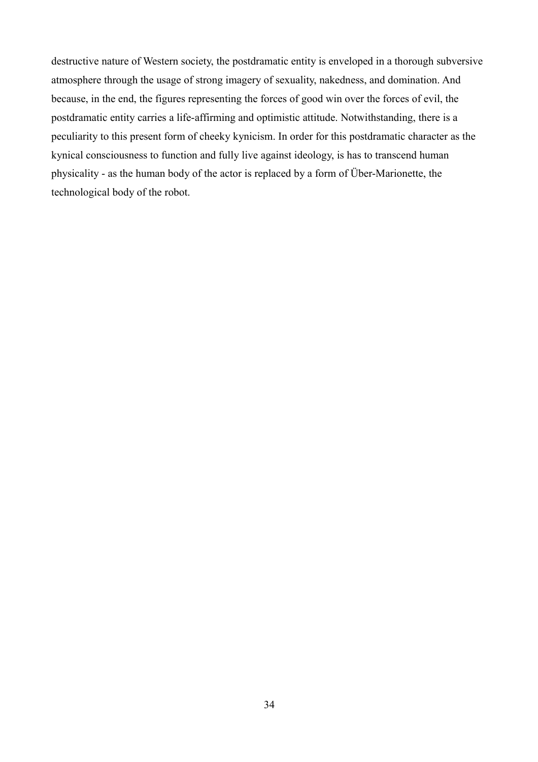destructive nature of Western society, the postdramatic entity is enveloped in a thorough subversive atmosphere through the usage of strong imagery of sexuality, nakedness, and domination. And because, in the end, the figures representing the forces of good win over the forces of evil, the postdramatic entity carries a life-affirming and optimistic attitude. Notwithstanding, there is a peculiarity to this present form of cheeky kynicism. In order for this postdramatic character as the kynical consciousness to function and fully live against ideology, is has to transcend human physicality - as the human body of the actor is replaced by a form of Über-Marionette, the technological body of the robot.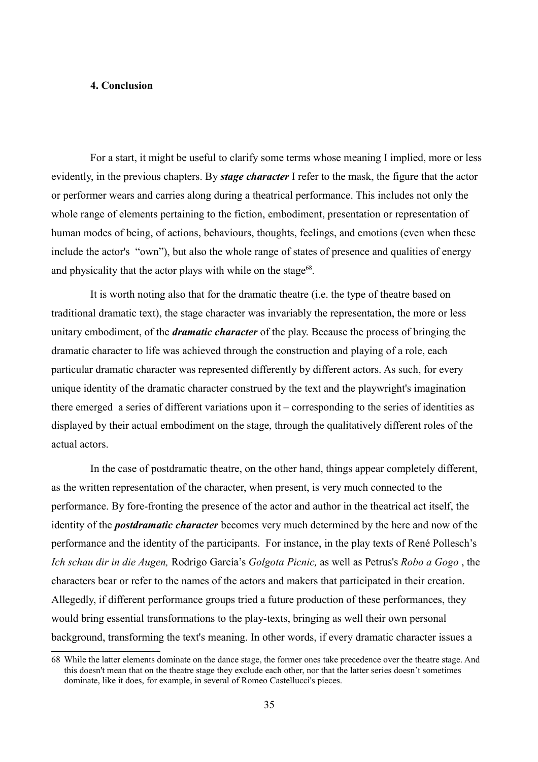# **4. Conclusion**

For a start, it might be useful to clarify some terms whose meaning I implied, more or less evidently, in the previous chapters. By *stage character* I refer to the mask, the figure that the actor or performer wears and carries along during a theatrical performance. This includes not only the whole range of elements pertaining to the fiction, embodiment, presentation or representation of human modes of being, of actions, behaviours, thoughts, feelings, and emotions (even when these include the actor's "own"), but also the whole range of states of presence and qualities of energy and physicality that the actor plays with while on the stage<sup>[68](#page-34-0)</sup>.

It is worth noting also that for the dramatic theatre (i.e. the type of theatre based on traditional dramatic text), the stage character was invariably the representation, the more or less unitary embodiment, of the *dramatic character* of the play. Because the process of bringing the dramatic character to life was achieved through the construction and playing of a role, each particular dramatic character was represented differently by different actors. As such, for every unique identity of the dramatic character construed by the text and the playwright's imagination there emerged a series of different variations upon it – corresponding to the series of identities as displayed by their actual embodiment on the stage, through the qualitatively different roles of the actual actors.

In the case of postdramatic theatre, on the other hand, things appear completely different, as the written representation of the character, when present, is very much connected to the performance. By fore-fronting the presence of the actor and author in the theatrical act itself, the identity of the *postdramatic character* becomes very much determined by the here and now of the performance and the identity of the participants. For instance, in the play texts of René Pollesch's *Ich schau dir in die Augen,* Rodrigo García's *Golgota Picnic,* as well as Petrus's *Robo a Gogo* , the characters bear or refer to the names of the actors and makers that participated in their creation. Allegedly, if different performance groups tried a future production of these performances, they would bring essential transformations to the play-texts, bringing as well their own personal background, transforming the text's meaning. In other words, if every dramatic character issues a

<span id="page-34-0"></span><sup>68</sup> While the latter elements dominate on the dance stage, the former ones take precedence over the theatre stage. And this doesn't mean that on the theatre stage they exclude each other, nor that the latter series doesn't sometimes dominate, like it does, for example, in several of Romeo Castellucci's pieces.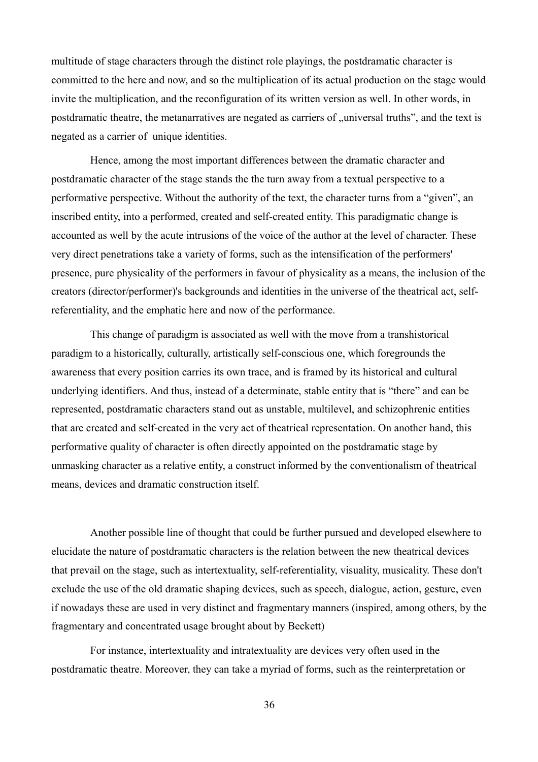multitude of stage characters through the distinct role playings, the postdramatic character is committed to the here and now, and so the multiplication of its actual production on the stage would invite the multiplication, and the reconfiguration of its written version as well. In other words, in postdramatic theatre, the metanarratives are negated as carriers of "universal truths", and the text is negated as a carrier of unique identities.

Hence, among the most important differences between the dramatic character and postdramatic character of the stage stands the the turn away from a textual perspective to a performative perspective. Without the authority of the text, the character turns from a "given", an inscribed entity, into a performed, created and self-created entity. This paradigmatic change is accounted as well by the acute intrusions of the voice of the author at the level of character. These very direct penetrations take a variety of forms, such as the intensification of the performers' presence, pure physicality of the performers in favour of physicality as a means, the inclusion of the creators (director/performer)'s backgrounds and identities in the universe of the theatrical act, selfreferentiality, and the emphatic here and now of the performance.

This change of paradigm is associated as well with the move from a transhistorical paradigm to a historically, culturally, artistically self-conscious one, which foregrounds the awareness that every position carries its own trace, and is framed by its historical and cultural underlying identifiers. And thus, instead of a determinate, stable entity that is "there" and can be represented, postdramatic characters stand out as unstable, multilevel, and schizophrenic entities that are created and self-created in the very act of theatrical representation. On another hand, this performative quality of character is often directly appointed on the postdramatic stage by unmasking character as a relative entity, a construct informed by the conventionalism of theatrical means, devices and dramatic construction itself.

Another possible line of thought that could be further pursued and developed elsewhere to elucidate the nature of postdramatic characters is the relation between the new theatrical devices that prevail on the stage, such as intertextuality, self-referentiality, visuality, musicality. These don't exclude the use of the old dramatic shaping devices, such as speech, dialogue, action, gesture, even if nowadays these are used in very distinct and fragmentary manners (inspired, among others, by the fragmentary and concentrated usage brought about by Beckett)

For instance, intertextuality and intratextuality are devices very often used in the postdramatic theatre. Moreover, they can take a myriad of forms, such as the reinterpretation or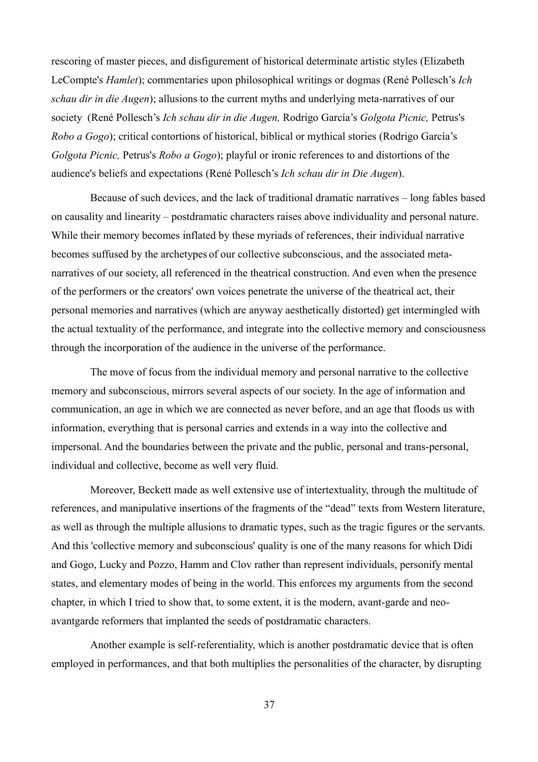rescoring of master pieces, and disfigurement of historical determinate artistic styles (Elizabeth LeCompte's *Hamlet*); commentaries upon philosophical writings or dogmas (René Pollesch's *Ich schau dir in die Augen*); allusions to the current myths and underlying meta-narratives of our society (René Pollesch's *Ich schau dir in die Augen,* Rodrigo García's *Golgota Picnic,* Petrus's *Robo a Gogo*); critical contortions of historical, biblical or mythical stories (Rodrigo García's *Golgota Picnic,* Petrus's *Robo a Gogo*); playful or ironic references to and distortions of the audience's beliefs and expectations (René Pollesch's *Ich schau dir in Die Augen*).

Because of such devices, and the lack of traditional dramatic narratives – long fables based on causality and linearity – postdramatic characters raises above individuality and personal nature. While their memory becomes inflated by these myriads of references, their individual narrative becomes suffused by the archetypes of our collective subconscious, and the associated metanarratives of our society, all referenced in the theatrical construction. And even when the presence of the performers or the creators' own voices penetrate the universe of the theatrical act, their personal memories and narratives (which are anyway aesthetically distorted) get intermingled with the actual textuality of the performance, and integrate into the collective memory and consciousness through the incorporation of the audience in the universe of the performance.

The move of focus from the individual memory and personal narrative to the collective memory and subconscious, mirrors several aspects of our society. In the age of information and communication, an age in which we are connected as never before, and an age that floods us with information, everything that is personal carries and extends in a way into the collective and impersonal. And the boundaries between the private and the public, personal and trans-personal, individual and collective, become as well very fluid.

Moreover, Beckett made as well extensive use of intertextuality, through the multitude of references, and manipulative insertions of the fragments of the "dead" texts from Western literature, as well as through the multiple allusions to dramatic types, such as the tragic figures or the servants. And this 'collective memory and subconscious' quality is one of the many reasons for which Didi and Gogo, Lucky and Pozzo, Hamm and Clov rather than represent individuals, personify mental states, and elementary modes of being in the world. This enforces my arguments from the second chapter, in which I tried to show that, to some extent, it is the modern, avant-garde and neoavantgarde reformers that implanted the seeds of postdramatic characters.

Another example is self-referentiality, which is another postdramatic device that is often employed in performances, and that both multiplies the personalities of the character, by disrupting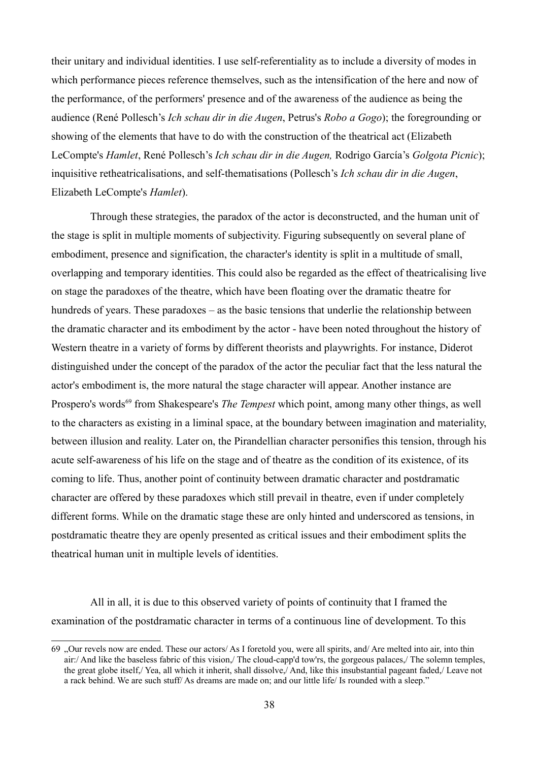their unitary and individual identities. I use self-referentiality as to include a diversity of modes in which performance pieces reference themselves, such as the intensification of the here and now of the performance, of the performers' presence and of the awareness of the audience as being the audience (René Pollesch's *Ich schau dir in die Augen*, Petrus's *Robo a Gogo*); the foregrounding or showing of the elements that have to do with the construction of the theatrical act (Elizabeth LeCompte's *Hamlet*, René Pollesch's *Ich schau dir in die Augen,* Rodrigo García's *Golgota Picnic*); inquisitive retheatricalisations, and self-thematisations (Pollesch's *Ich schau dir in die Augen*, Elizabeth LeCompte's *Hamlet*).

Through these strategies, the paradox of the actor is deconstructed, and the human unit of the stage is split in multiple moments of subjectivity. Figuring subsequently on several plane of embodiment, presence and signification, the character's identity is split in a multitude of small, overlapping and temporary identities. This could also be regarded as the effect of theatricalising live on stage the paradoxes of the theatre, which have been floating over the dramatic theatre for hundreds of years. These paradoxes – as the basic tensions that underlie the relationship between the dramatic character and its embodiment by the actor - have been noted throughout the history of Western theatre in a variety of forms by different theorists and playwrights. For instance, Diderot distinguished under the concept of the paradox of the actor the peculiar fact that the less natural the actor's embodiment is, the more natural the stage character will appear. Another instance are Prospero's words<sup>[69](#page-37-0)</sup> from Shakespeare's *The Tempest* which point, among many other things, as well to the characters as existing in a liminal space, at the boundary between imagination and materiality, between illusion and reality. Later on, the Pirandellian character personifies this tension, through his acute self-awareness of his life on the stage and of theatre as the condition of its existence, of its coming to life. Thus, another point of continuity between dramatic character and postdramatic character are offered by these paradoxes which still prevail in theatre, even if under completely different forms. While on the dramatic stage these are only hinted and underscored as tensions, in postdramatic theatre they are openly presented as critical issues and their embodiment splits the theatrical human unit in multiple levels of identities.

All in all, it is due to this observed variety of points of continuity that I framed the examination of the postdramatic character in terms of a continuous line of development. To this

<span id="page-37-0"></span><sup>69</sup> "Our revels now are ended. These our actors/ As I foretold you, were all spirits, and/ Are melted into air, into thin air:/ And like the baseless fabric of this vision,/ The cloud-capp'd tow'rs, the gorgeous palaces,/ The solemn temples, the great globe itself,/ Yea, all which it inherit, shall dissolve,/ And, like this insubstantial pageant faded,/ Leave not a rack behind. We are such stuff/ As dreams are made on; and our little life/ Is rounded with a sleep."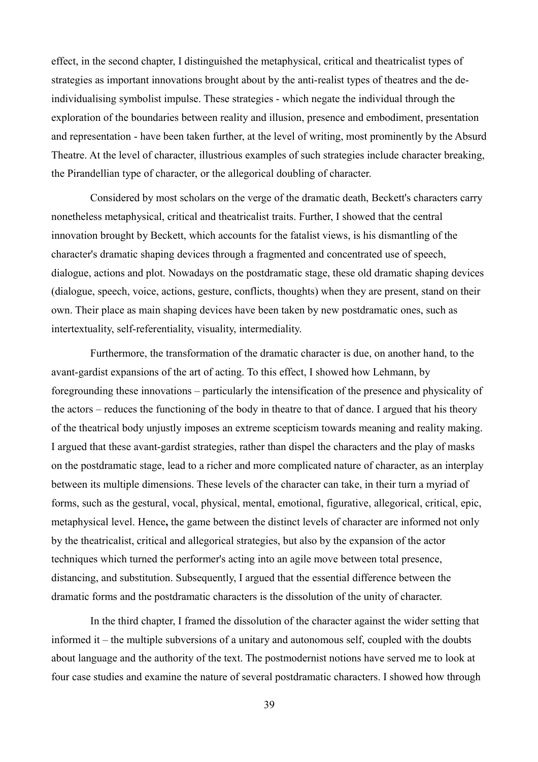effect, in the second chapter, I distinguished the metaphysical, critical and theatricalist types of strategies as important innovations brought about by the anti-realist types of theatres and the deindividualising symbolist impulse. These strategies - which negate the individual through the exploration of the boundaries between reality and illusion, presence and embodiment, presentation and representation - have been taken further, at the level of writing, most prominently by the Absurd Theatre. At the level of character, illustrious examples of such strategies include character breaking, the Pirandellian type of character, or the allegorical doubling of character.

Considered by most scholars on the verge of the dramatic death, Beckett's characters carry nonetheless metaphysical, critical and theatricalist traits. Further, I showed that the central innovation brought by Beckett, which accounts for the fatalist views, is his dismantling of the character's dramatic shaping devices through a fragmented and concentrated use of speech, dialogue, actions and plot. Nowadays on the postdramatic stage, these old dramatic shaping devices (dialogue, speech, voice, actions, gesture, conflicts, thoughts) when they are present, stand on their own. Their place as main shaping devices have been taken by new postdramatic ones, such as intertextuality, self-referentiality, visuality, intermediality.

Furthermore, the transformation of the dramatic character is due, on another hand, to the avant-gardist expansions of the art of acting. To this effect, I showed how Lehmann, by foregrounding these innovations – particularly the intensification of the presence and physicality of the actors – reduces the functioning of the body in theatre to that of dance. I argued that his theory of the theatrical body unjustly imposes an extreme scepticism towards meaning and reality making. I argued that these avant-gardist strategies, rather than dispel the characters and the play of masks on the postdramatic stage, lead to a richer and more complicated nature of character, as an interplay between its multiple dimensions. These levels of the character can take, in their turn a myriad of forms, such as the gestural, vocal, physical, mental, emotional, figurative, allegorical, critical, epic, metaphysical level. Hence**,** the game between the distinct levels of character are informed not only by the theatricalist, critical and allegorical strategies, but also by the expansion of the actor techniques which turned the performer's acting into an agile move between total presence, distancing, and substitution. Subsequently, I argued that the essential difference between the dramatic forms and the postdramatic characters is the dissolution of the unity of character.

In the third chapter, I framed the dissolution of the character against the wider setting that informed it – the multiple subversions of a unitary and autonomous self, coupled with the doubts about language and the authority of the text. The postmodernist notions have served me to look at four case studies and examine the nature of several postdramatic characters. I showed how through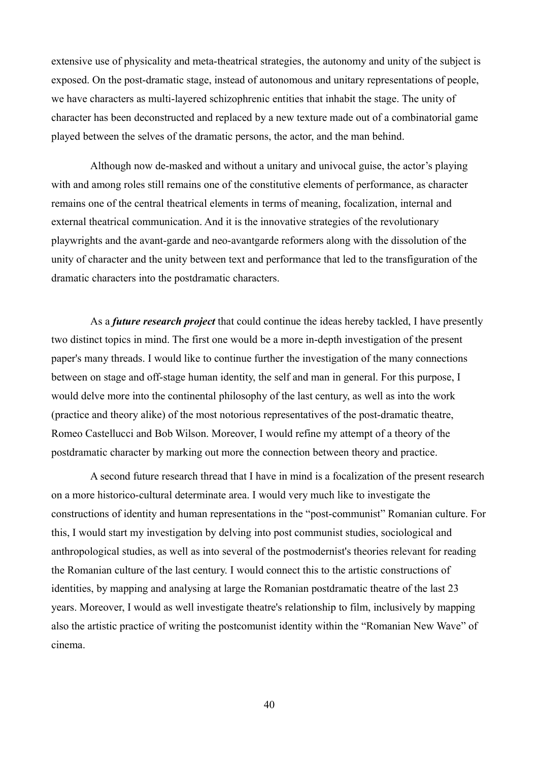extensive use of physicality and meta-theatrical strategies, the autonomy and unity of the subject is exposed. On the post-dramatic stage, instead of autonomous and unitary representations of people, we have characters as multi-layered schizophrenic entities that inhabit the stage. The unity of character has been deconstructed and replaced by a new texture made out of a combinatorial game played between the selves of the dramatic persons, the actor, and the man behind.

Although now de-masked and without a unitary and univocal guise, the actor's playing with and among roles still remains one of the constitutive elements of performance, as character remains one of the central theatrical elements in terms of meaning, focalization, internal and external theatrical communication. And it is the innovative strategies of the revolutionary playwrights and the avant-garde and neo-avantgarde reformers along with the dissolution of the unity of character and the unity between text and performance that led to the transfiguration of the dramatic characters into the postdramatic characters.

As a *future research project* that could continue the ideas hereby tackled, I have presently two distinct topics in mind. The first one would be a more in-depth investigation of the present paper's many threads. I would like to continue further the investigation of the many connections between on stage and off-stage human identity, the self and man in general. For this purpose, I would delve more into the continental philosophy of the last century, as well as into the work (practice and theory alike) of the most notorious representatives of the post-dramatic theatre, Romeo Castellucci and Bob Wilson. Moreover, I would refine my attempt of a theory of the postdramatic character by marking out more the connection between theory and practice.

A second future research thread that I have in mind is a focalization of the present research on a more historico-cultural determinate area. I would very much like to investigate the constructions of identity and human representations in the "post-communist" Romanian culture. For this, I would start my investigation by delving into post communist studies, sociological and anthropological studies, as well as into several of the postmodernist's theories relevant for reading the Romanian culture of the last century. I would connect this to the artistic constructions of identities, by mapping and analysing at large the Romanian postdramatic theatre of the last 23 years. Moreover, I would as well investigate theatre's relationship to film, inclusively by mapping also the artistic practice of writing the postcomunist identity within the "Romanian New Wave" of cinema.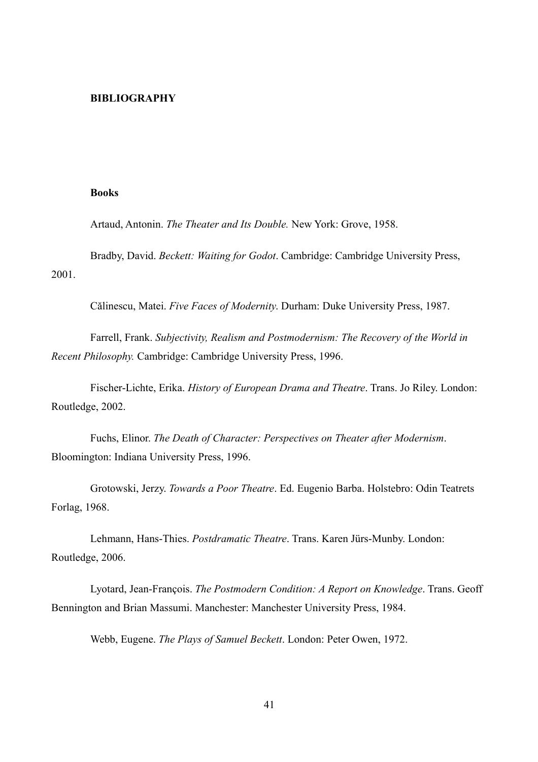#### **BIBLIOGRAPHY**

#### **Books**

Artaud, Antonin. *The Theater and Its Double.* New York: Grove, 1958.

Bradby, David. *Beckett: Waiting for Godot*. Cambridge: Cambridge University Press, 2001.

Călinescu, Matei. *Five Faces of Modernity*. Durham: Duke University Press, 1987.

Farrell, Frank. *Subjectivity, Realism and Postmodernism: The Recovery of the World in Recent Philosophy.* Cambridge: Cambridge University Press, 1996.

Fischer-Lichte, Erika. *History of European Drama and Theatre*. Trans. Jo Riley. London: Routledge, 2002.

Fuchs, Elinor. *The Death of Character: Perspectives on Theater after Modernism*. Bloomington: Indiana University Press, 1996.

Grotowski, Jerzy. *Towards a Poor Theatre*. Ed. Eugenio Barba. Holstebro: Odin Teatrets Forlag, 1968.

Lehmann, Hans-Thies. *Postdramatic Theatre*. Trans. Karen Jürs-Munby. London: Routledge, 2006.

Lyotard, Jean-François. *The Postmodern Condition: A Report on Knowledge*. Trans. Geoff Bennington and Brian Massumi. Manchester: Manchester University Press, 1984.

Webb, Eugene. *The Plays of Samuel Beckett*. London: Peter Owen, 1972.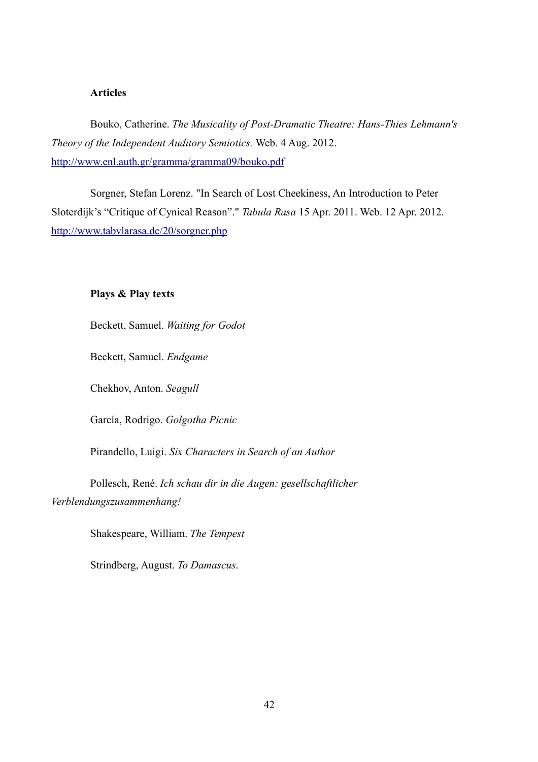## **Articles**

Bouko, Catherine. *The Musicality of Post-Dramatic Theatre: Hans-Thies Lehmann's Theory of the Independent Auditory Semiotics.* Web. 4 Aug. 2012. <http://www.enl.auth.gr/gramma/gramma09/bouko.pdf>

Sorgner, Stefan Lorenz. "In Search of Lost Cheekiness, An Introduction to Peter Sloterdijk's "Critique of Cynical Reason"." *Tabula Rasa* 15 Apr. 2011. Web. 12 Apr. 2012. [http://www.tabvlarasa.de/20/sorgner.php](http://www.tabvlarasa.de/20/sorgner.phps)

# **Plays & Play texts**

Beckett, Samuel. *Waiting for Godot*

Beckett, Samuel. *Endgame*

Chekhov, Anton. *Seagull*

García, Rodrigo. *Golgotha Picnic*

Pirandello, Luigi. *Six Characters in Search of an Author*

Pollesch, René. *Ich schau dir in die Augen: gesellschaftlicher Verblendungszusammenhang!* 

Shakespeare, William. *The Tempest*

Strindberg, August. *To Damascus*.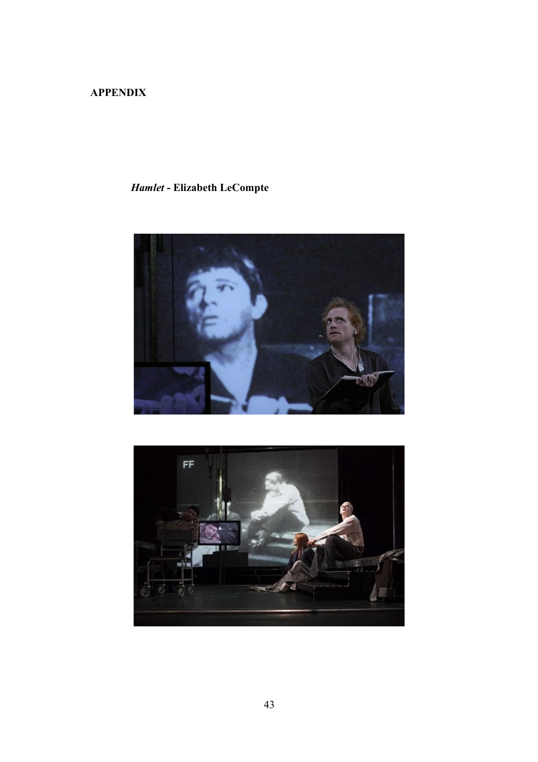# **APPENDIX**

# *Hamlet* **- Elizabeth LeCompte**



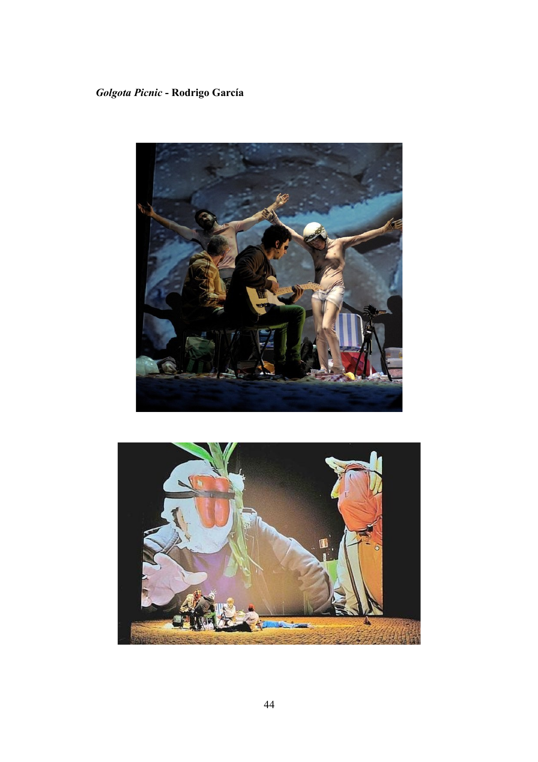# *Golgota Picnic* **- Rodrigo García**



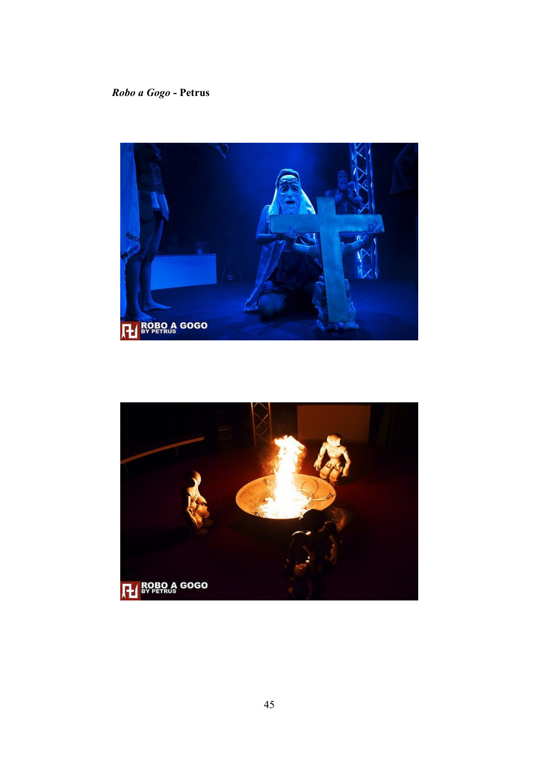# *Robo a Gogo* **- Petrus**